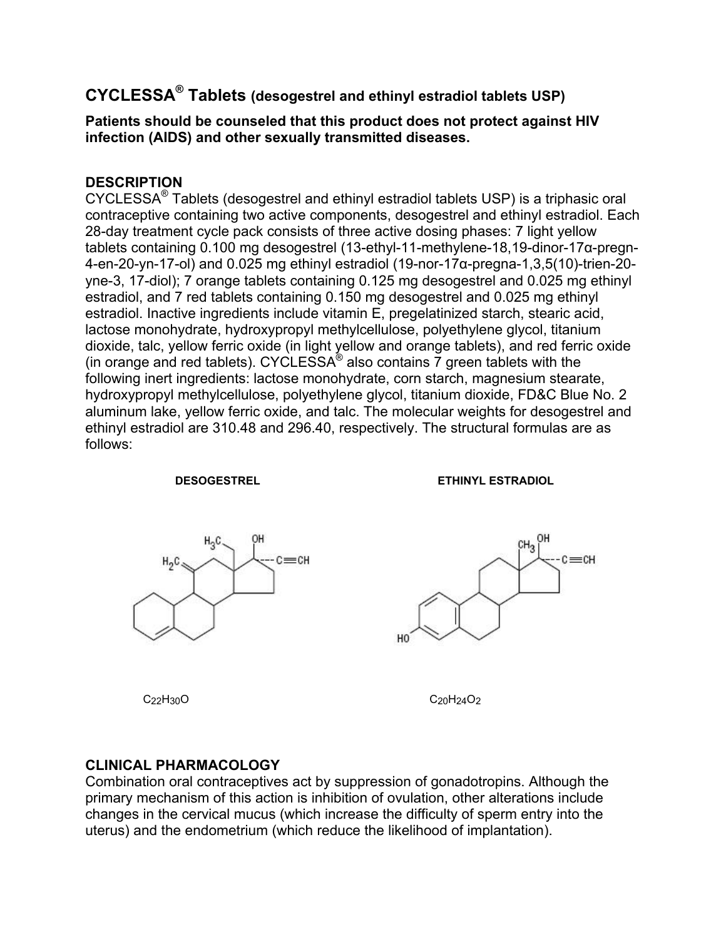# **CYCLESSA® Tablets (desogestrel and ethinyl estradiol tablets USP)**

**Patients should be counseled that this product does not protect against HIV infection (AIDS) and other sexually transmitted diseases.**

# **DESCRIPTION**

CYCLESSA® Tablets (desogestrel and ethinyl estradiol tablets USP) is a triphasic oral contraceptive containing two active components, desogestrel and ethinyl estradiol. Each 28-day treatment cycle pack consists of three active dosing phases: 7 light yellow tablets containing 0.100 mg desogestrel (13-ethyl-11-methylene-18,19-dinor-17α-pregn-4-en-20-yn-17-ol) and 0.025 mg ethinyl estradiol (19-nor-17α-pregna-1,3,5(10)-trien-20 yne-3, 17-diol); 7 orange tablets containing 0.125 mg desogestrel and 0.025 mg ethinyl estradiol, and 7 red tablets containing 0.150 mg desogestrel and 0.025 mg ethinyl estradiol. Inactive ingredients include vitamin E, pregelatinized starch, stearic acid, lactose monohydrate, hydroxypropyl methylcellulose, polyethylene glycol, titanium dioxide, talc, yellow ferric oxide (in light yellow and orange tablets), and red ferric oxide (in orange and red tablets). CYCLESSA<sup>®</sup> also contains  $\overline{7}$  green tablets with the following inert ingredients: lactose monohydrate, corn starch, magnesium stearate, hydroxypropyl methylcellulose, polyethylene glycol, titanium dioxide, FD&C Blue No. 2 aluminum lake, yellow ferric oxide, and talc. The molecular weights for desogestrel and ethinyl estradiol are 310.48 and 296.40, respectively. The structural formulas are as follows:

**DESOGESTREL ETHINYL ESTRADIOL**



OН  $c = cH$ H<sub>0</sub>

 $C_{22}H_{30}O$   $C_{20}H_{24}O_2$ 

#### **CLINICAL PHARMACOLOGY**

Combination oral contraceptives act by suppression of gonadotropins. Although the primary mechanism of this action is inhibition of ovulation, other alterations include changes in the cervical mucus (which increase the difficulty of sperm entry into the uterus) and the endometrium (which reduce the likelihood of implantation).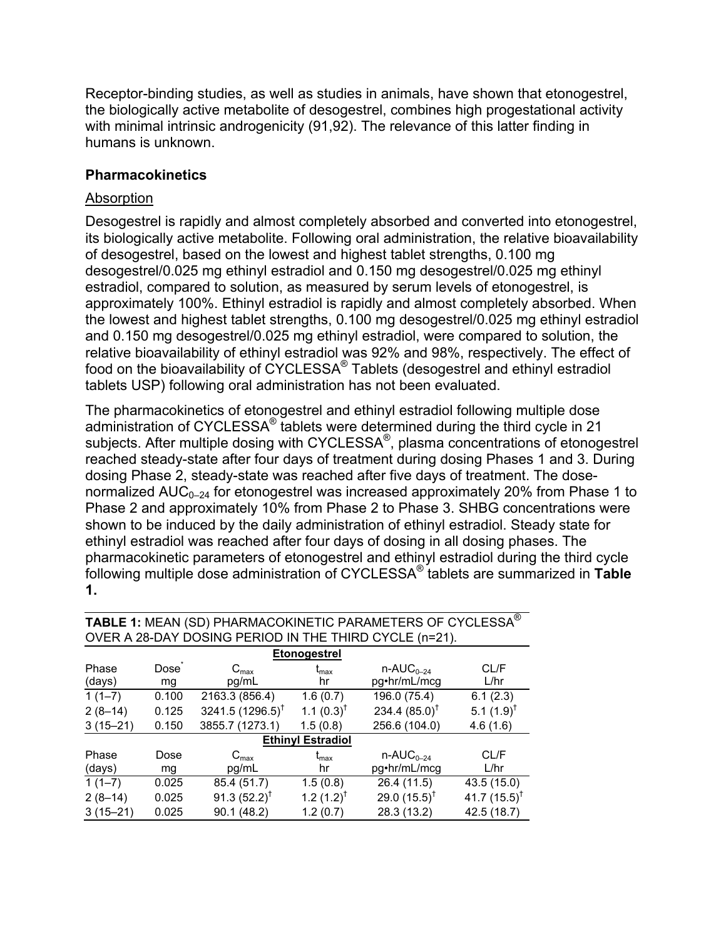Receptor-binding studies, as well as studies in animals, have shown that etonogestrel, the biologically active metabolite of desogestrel, combines high progestational activity with minimal intrinsic androgenicity (91,92). The relevance of this latter finding in humans is unknown.

### **Pharmacokinetics**

### Absorption

Desogestrel is rapidly and almost completely absorbed and converted into etonogestrel, its biologically active metabolite. Following oral administration, the relative bioavailability of desogestrel, based on the lowest and highest tablet strengths, 0.100 mg desogestrel/0.025 mg ethinyl estradiol and 0.150 mg desogestrel/0.025 mg ethinyl estradiol, compared to solution, as measured by serum levels of etonogestrel, is approximately 100%. Ethinyl estradiol is rapidly and almost completely absorbed. When the lowest and highest tablet strengths, 0.100 mg desogestrel/0.025 mg ethinyl estradiol and 0.150 mg desogestrel/0.025 mg ethinyl estradiol, were compared to solution, the relative bioavailability of ethinyl estradiol was 92% and 98%, respectively. The effect of food on the bioavailability of CYCLESSA® Tablets (desogestrel and ethinyl estradiol tablets USP) following oral administration has not been evaluated.

The pharmacokinetics of etonogestrel and ethinyl estradiol following multiple dose administration of CYCLESSA® tablets were determined during the third cycle in 21 subjects. After multiple dosing with CYCLESSA®, plasma concentrations of etonogestrel reached steady-state after four days of treatment during dosing Phases 1 and 3. During dosing Phase 2, steady-state was reached after five days of treatment. The dosenormalized  $AUC_{0-24}$  for etonogestrel was increased approximately 20% from Phase 1 to Phase 2 and approximately 10% from Phase 2 to Phase 3. SHBG concentrations were shown to be induced by the daily administration of ethinyl estradiol. Steady state for ethinyl estradiol was reached after four days of dosing in all dosing phases. The pharmacokinetic parameters of etonogestrel and ethinyl estradiol during the third cycle following multiple dose administration of CYCLESSA® tablets are summarized in **Table 1.** 

| <b>Etonogestrel</b>      |       |                            |                       |                          |                         |  |  |
|--------------------------|-------|----------------------------|-----------------------|--------------------------|-------------------------|--|--|
| Phase                    | Dose  | $C_{\text{max}}$           | $\rm t_{max}$         | $n$ -AUC <sub>0-24</sub> | CL/F                    |  |  |
| (days)                   | mg    | pg/mL                      | hr                    | pg•hr/mL/mcg             | L/hr                    |  |  |
| $1(1-7)$                 | 0.100 | 2163.3 (856.4)             | 1.6(0.7)              | 196.0 (75.4)             | 6.1(2.3)                |  |  |
| $2(8-14)$                | 0.125 | $3241.5(1296.5)^{\dagger}$ | 1.1 $(0.3)^{\dagger}$ | 234.4 $(85.0)^{\dagger}$ | 5.1 $(1.9)^{\dagger}$   |  |  |
| $3(15-21)$               | 0.150 | 3855.7 (1273.1)            | 1.5(0.8)              | 256.6 (104.0)            | 4.6(1.6)                |  |  |
| <b>Ethinyl Estradiol</b> |       |                            |                       |                          |                         |  |  |
| Phase                    | Dose  | $C_{\text{max}}$           | $t_{\rm max}$         | $n$ -AUC <sub>0-24</sub> | CL/F                    |  |  |
| (days)                   | mg    | pg/mL                      | hr                    | pg•hr/mL/mcg             | L/hr                    |  |  |
| $1(1-7)$                 | 0.025 | 85.4 (51.7)                | 1.5(0.8)              | 26.4 (11.5)              | 43.5 (15.0)             |  |  |
| $2(8-14)$                | 0.025 | $91.3(52.2)^{\dagger}$     | 1.2 $(1.2)^{\dagger}$ | 29.0 $(15.5)^{\dagger}$  | 41.7 $(15.5)^{\dagger}$ |  |  |
| $3(15-21)$               | 0.025 | 90.1 (48.2)                | 1.2(0.7)              | 28.3 (13.2)              | 42.5 (18.7)             |  |  |

#### **TABLE 1:** MEAN (SD) PHARMACOKINETIC PARAMETERS OF CYCLESSA® OVER A 28-DAY DOSING PERIOD IN THE THIRD CYCLE (n=21).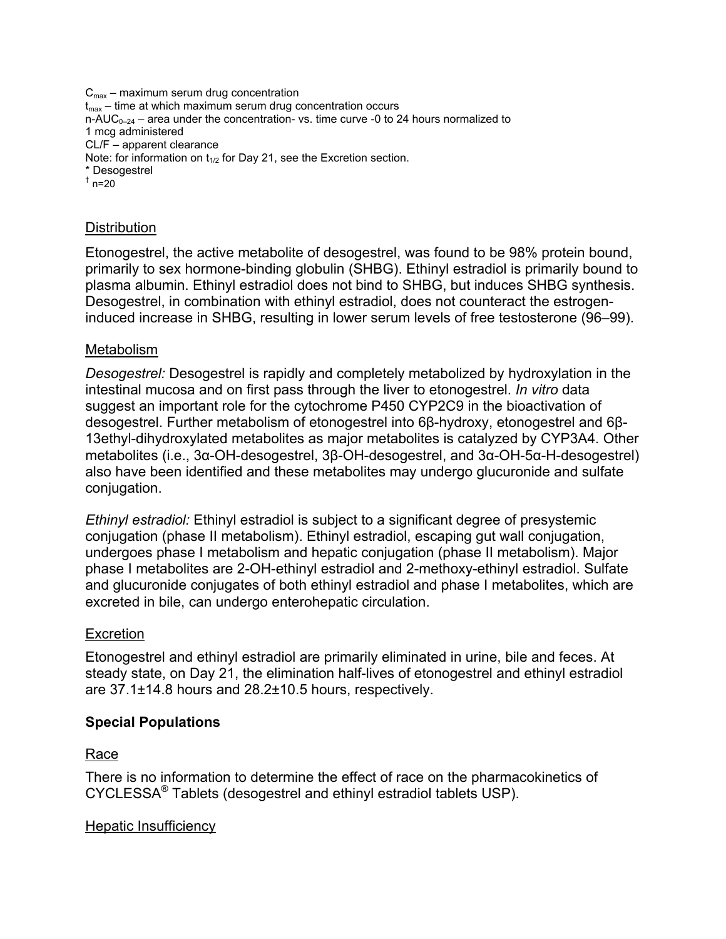$C_{\text{max}}$  – maximum serum drug concentration  $t_{\text{max}}$  – time at which maximum serum drug concentration occurs n-AUC<sub>0–24</sub> – area under the concentration- vs. time curve -0 to 24 hours normalized to 1 mcg administered CL/F – apparent clearance Note: for information on  $t_{1/2}$  for Day 21, see the Excretion section. \* Desogestrel  $^{\dagger}$  n=20

### **Distribution**

Etonogestrel, the active metabolite of desogestrel, was found to be 98% protein bound, primarily to sex hormone-binding globulin (SHBG). Ethinyl estradiol is primarily bound to plasma albumin. Ethinyl estradiol does not bind to SHBG, but induces SHBG synthesis. Desogestrel, in combination with ethinyl estradiol, does not counteract the estrogeninduced increase in SHBG, resulting in lower serum levels of free testosterone (96–99).

#### Metabolism

*Desogestrel:* Desogestrel is rapidly and completely metabolized by hydroxylation in the intestinal mucosa and on first pass through the liver to etonogestrel. *In vitro* data suggest an important role for the cytochrome P450 CYP2C9 in the bioactivation of desogestrel. Further metabolism of etonogestrel into 6β-hydroxy, etonogestrel and 6β-13ethyl-dihydroxylated metabolites as major metabolites is catalyzed by CYP3A4. Other metabolites (i.e., 3α-OH-desogestrel, 3β-OH-desogestrel, and 3α-OH-5α-H-desogestrel) also have been identified and these metabolites may undergo glucuronide and sulfate conjugation.

*Ethinyl estradiol:* Ethinyl estradiol is subject to a significant degree of presystemic conjugation (phase II metabolism). Ethinyl estradiol, escaping gut wall conjugation, undergoes phase I metabolism and hepatic conjugation (phase II metabolism). Major phase I metabolites are 2-OH-ethinyl estradiol and 2-methoxy-ethinyl estradiol. Sulfate and glucuronide conjugates of both ethinyl estradiol and phase I metabolites, which are excreted in bile, can undergo enterohepatic circulation.

#### **Excretion**

Etonogestrel and ethinyl estradiol are primarily eliminated in urine, bile and feces. At steady state, on Day 21, the elimination half-lives of etonogestrel and ethinyl estradiol are 37.1±14.8 hours and 28.2±10.5 hours, respectively.

#### **Special Populations**

Race

There is no information to determine the effect of race on the pharmacokinetics of CYCLESSA® Tablets (desogestrel and ethinyl estradiol tablets USP).

#### Hepatic Insufficiency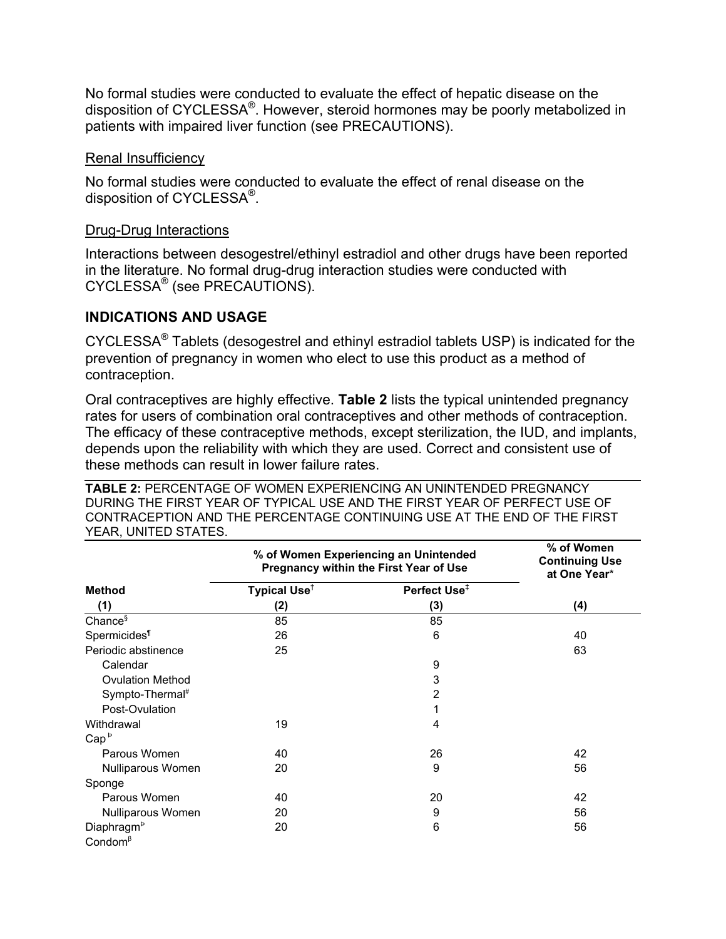No formal studies were conducted to evaluate the effect of hepatic disease on the disposition of CYCLESSA®. However, steroid hormones may be poorly metabolized in patients with impaired liver function (see PRECAUTIONS).

#### Renal Insufficiency

No formal studies were conducted to evaluate the effect of renal disease on the disposition of CYCLESSA®.

### Drug-Drug Interactions

Interactions between desogestrel/ethinyl estradiol and other drugs have been reported in the literature. No formal drug-drug interaction studies were conducted with CYCLESSA® (see PRECAUTIONS).

### **INDICATIONS AND USAGE**

CYCLESSA® Tablets (desogestrel and ethinyl estradiol tablets USP) is indicated for the prevention of pregnancy in women who elect to use this product as a method of contraception.

Oral contraceptives are highly effective. **Table 2** lists the typical unintended pregnancy rates for users of combination oral contraceptives and other methods of contraception. The efficacy of these contraceptive methods, except sterilization, the IUD, and implants, depends upon the reliability with which they are used. Correct and consistent use of these methods can result in lower failure rates.

**TABLE 2:** PERCENTAGE OF WOMEN EXPERIENCING AN UNINTENDED PREGNANCY DURING THE FIRST YEAR OF TYPICAL USE AND THE FIRST YEAR OF PERFECT USE OF CONTRACEPTION AND THE PERCENTAGE CONTINUING USE AT THE END OF THE FIRST YEAR, UNITED STATES.

|                             | % of Women Experiencing an Unintended<br>Pregnancy within the First Year of Use | % of Women<br><b>Continuing Use</b><br>at One Year* |     |  |  |
|-----------------------------|---------------------------------------------------------------------------------|-----------------------------------------------------|-----|--|--|
| <b>Method</b>               | Typical Use <sup>†</sup>                                                        | Perfect Use <sup>‡</sup>                            |     |  |  |
| (1)                         | (2)                                                                             | (3)                                                 | (4) |  |  |
| Chance <sup>§</sup>         | 85                                                                              | 85                                                  |     |  |  |
| Spermicides <sup>1</sup>    | 26                                                                              | 6                                                   | 40  |  |  |
| Periodic abstinence         | 25                                                                              |                                                     | 63  |  |  |
| Calendar                    |                                                                                 | 9                                                   |     |  |  |
| <b>Ovulation Method</b>     |                                                                                 | 3                                                   |     |  |  |
| Sympto-Thermal <sup>#</sup> |                                                                                 | $\overline{2}$                                      |     |  |  |
| Post-Ovulation              |                                                                                 |                                                     |     |  |  |
| Withdrawal                  | 19                                                                              | 4                                                   |     |  |  |
| $Cap^{\triangleright}$      |                                                                                 |                                                     |     |  |  |
| Parous Women                | 40                                                                              | 26                                                  | 42  |  |  |
| Nulliparous Women           | 20                                                                              | 9                                                   | 56  |  |  |
| Sponge                      |                                                                                 |                                                     |     |  |  |
| Parous Women                | 40                                                                              | 20                                                  | 42  |  |  |
| Nulliparous Women           | 20                                                                              | 9                                                   | 56  |  |  |
| Diaphragm <sup>b</sup>      | 20                                                                              | 6                                                   | 56  |  |  |
| Condom $\beta$              |                                                                                 |                                                     |     |  |  |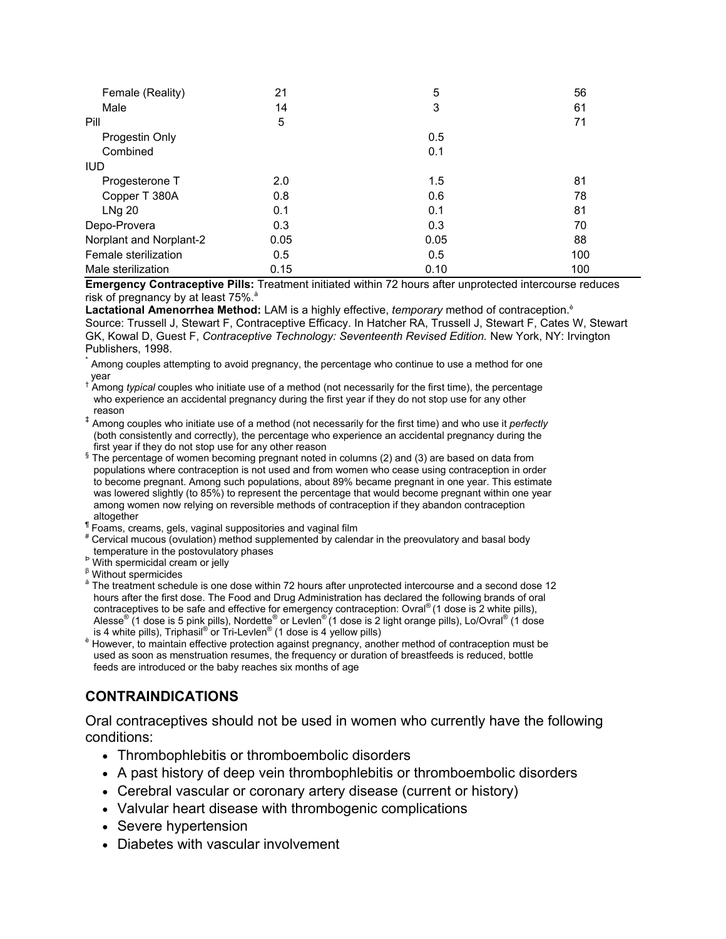| Female (Reality)        | 21   | 5    | 56  |
|-------------------------|------|------|-----|
| Male                    | 14   | 3    | 61  |
| Pill                    | 5    |      | 71  |
| Progestin Only          |      | 0.5  |     |
| Combined                |      | 0.1  |     |
| <b>IUD</b>              |      |      |     |
| Progesterone T          | 2.0  | 1.5  | 81  |
| Copper T 380A           | 0.8  | 0.6  | 78  |
| $L$ Ng 20               | 0.1  | 0.1  | 81  |
| Depo-Provera            | 0.3  | 0.3  | 70  |
| Norplant and Norplant-2 | 0.05 | 0.05 | 88  |
| Female sterilization    | 0.5  | 0.5  | 100 |
| Male sterilization      | 0.15 | 0.10 | 100 |

**Emergency Contraceptive Pills:** Treatment initiated within 72 hours after unprotected intercourse reduces risk of pregnancy by at least 75%.à

**Lactational Amenorrhea Method:** LAM is a highly effective, *temporary* method of contraception.è Source: Trussell J, Stewart F, Contraceptive Efficacy. In Hatcher RA, Trussell J, Stewart F, Cates W, Stewart GK, Kowal D, Guest F, *Contraceptive Technology: Seventeenth Revised Edition.* New York, NY: Irvington Publishers, 1998.

Among couples attempting to avoid pregnancy, the percentage who continue to use a method for one year

<sup>†</sup> Among *typical* couples who initiate use of a method (not necessarily for the first time), the percentage who experience an accidental pregnancy during the first year if they do not stop use for any other reason

‡ Among couples who initiate use of a method (not necessarily for the first time) and who use it *perfectly* (both consistently and correctly), the percentage who experience an accidental pregnancy during the first year if they do not stop use for any other reason

- $\textsuperscript{s}$  The percentage of women becoming pregnant noted in columns (2) and (3) are based on data from populations where contraception is not used and from women who cease using contraception in order to become pregnant. Among such populations, about 89% became pregnant in one year. This estimate was lowered slightly (to 85%) to represent the percentage that would become pregnant within one year among women now relying on reversible methods of contraception if they abandon contraception altogether
- ¶ Foams, creams, gels, vaginal suppositories and vaginal film #

 Cervical mucous (ovulation) method supplemented by calendar in the preovulatory and basal body temperature in the postovulatory phases

Þ With spermicidal cream or jelly

<sup>β</sup> Without spermicides

<sup>à</sup> The treatment schedule is one dose within 72 hours after unprotected intercourse and a second dose 12 hours after the first dose. The Food and Drug Administration has declared the following brands of oral contraceptives to be safe and effective for emergency contraception: Ovral® (1 dose is 2 white pills), Alesse<sup>®</sup> (1 dose is 5 pink pills), Nordette<sup>®</sup> or Levlen<sup>®</sup> (1 dose is 2 light orange pills), Lo/Ovral<sup>®</sup> (1 dose is 4 white pills), Triphasil<sup>®</sup> or Tri-Levlen<sup>®</sup> (1 dose is 4 yellow pills)

<sup>è</sup> However, to maintain effective protection against pregnancy, another method of contraception must be used as soon as menstruation resumes, the frequency or duration of breastfeeds is reduced, bottle feeds are introduced or the baby reaches six months of age

# **CONTRAINDICATIONS**

Oral contraceptives should not be used in women who currently have the following conditions:

- Thrombophlebitis or thromboembolic disorders
- A past history of deep vein thrombophlebitis or thromboembolic disorders
- Cerebral vascular or coronary artery disease (current or history)
- Valvular heart disease with thrombogenic complications
- Severe hypertension
- Diabetes with vascular involvement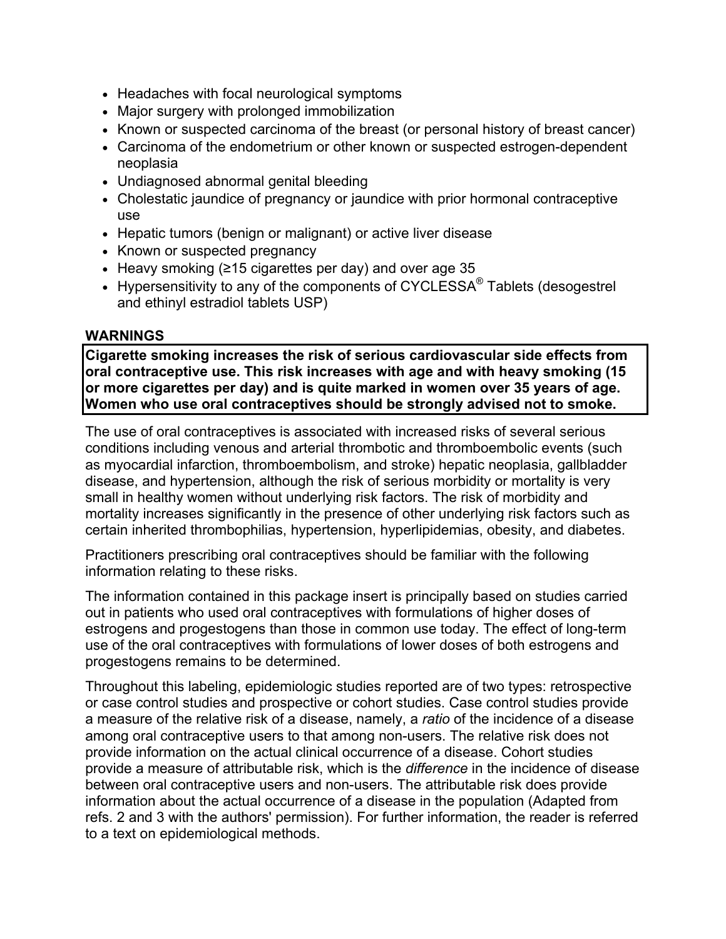- Headaches with focal neurological symptoms
- Major surgery with prolonged immobilization
- Known or suspected carcinoma of the breast (or personal history of breast cancer)
- Carcinoma of the endometrium or other known or suspected estrogen-dependent neoplasia
- Undiagnosed abnormal genital bleeding
- Cholestatic jaundice of pregnancy or jaundice with prior hormonal contraceptive use
- Hepatic tumors (benign or malignant) or active liver disease
- Known or suspected pregnancy
- Heavy smoking (≥15 cigarettes per day) and over age 35
- Hypersensitivity to any of the components of CYCLESSA<sup>®</sup> Tablets (desogestrel and ethinyl estradiol tablets USP)

#### **WARNINGS**

**Cigarette smoking increases the risk of serious cardiovascular side effects from oral contraceptive use. This risk increases with age and with heavy smoking (15 or more cigarettes per day) and is quite marked in women over 35 years of age. Women who use oral contraceptives should be strongly advised not to smoke.**

The use of oral contraceptives is associated with increased risks of several serious conditions including venous and arterial thrombotic and thromboembolic events (such as myocardial infarction, thromboembolism, and stroke) hepatic neoplasia, gallbladder disease, and hypertension, although the risk of serious morbidity or mortality is very small in healthy women without underlying risk factors. The risk of morbidity and mortality increases significantly in the presence of other underlying risk factors such as certain inherited thrombophilias, hypertension, hyperlipidemias, obesity, and diabetes.

Practitioners prescribing oral contraceptives should be familiar with the following information relating to these risks.

The information contained in this package insert is principally based on studies carried out in patients who used oral contraceptives with formulations of higher doses of estrogens and progestogens than those in common use today. The effect of long-term use of the oral contraceptives with formulations of lower doses of both estrogens and progestogens remains to be determined.

Throughout this labeling, epidemiologic studies reported are of two types: retrospective or case control studies and prospective or cohort studies. Case control studies provide a measure of the relative risk of a disease, namely, a *ratio* of the incidence of a disease among oral contraceptive users to that among non-users. The relative risk does not provide information on the actual clinical occurrence of a disease. Cohort studies provide a measure of attributable risk, which is the *difference* in the incidence of disease between oral contraceptive users and non-users. The attributable risk does provide information about the actual occurrence of a disease in the population (Adapted from refs. 2 and 3 with the authors' permission). For further information, the reader is referred to a text on epidemiological methods.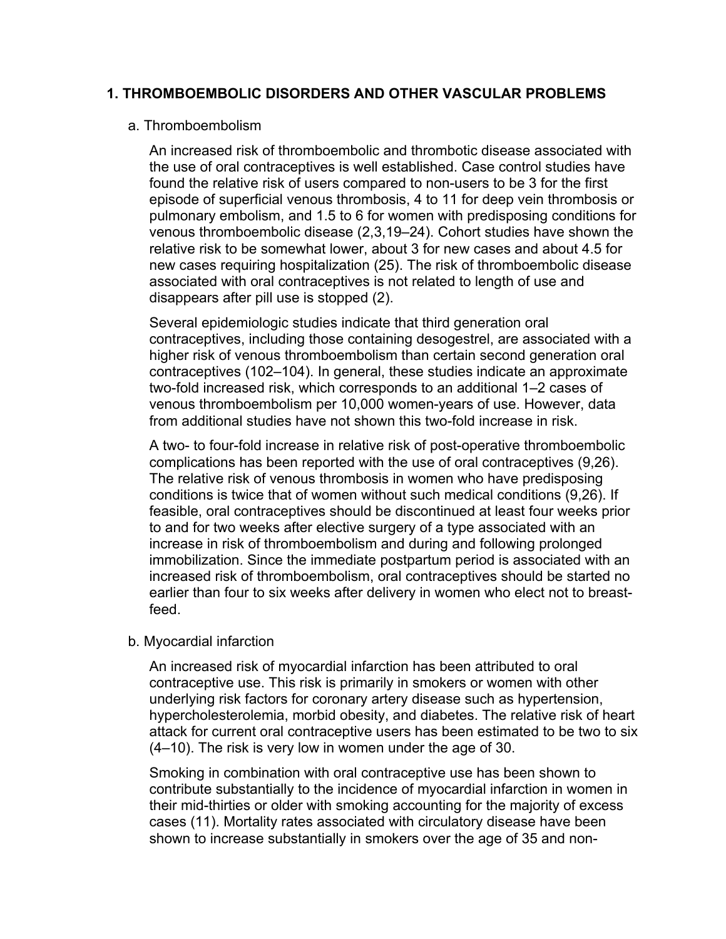#### **1. THROMBOEMBOLIC DISORDERS AND OTHER VASCULAR PROBLEMS**

#### a. Thromboembolism

An increased risk of thromboembolic and thrombotic disease associated with the use of oral contraceptives is well established. Case control studies have found the relative risk of users compared to non-users to be 3 for the first episode of superficial venous thrombosis, 4 to 11 for deep vein thrombosis or pulmonary embolism, and 1.5 to 6 for women with predisposing conditions for venous thromboembolic disease (2,3,19–24). Cohort studies have shown the relative risk to be somewhat lower, about 3 for new cases and about 4.5 for new cases requiring hospitalization (25). The risk of thromboembolic disease associated with oral contraceptives is not related to length of use and disappears after pill use is stopped (2).

Several epidemiologic studies indicate that third generation oral contraceptives, including those containing desogestrel, are associated with a higher risk of venous thromboembolism than certain second generation oral contraceptives (102–104). In general, these studies indicate an approximate two-fold increased risk, which corresponds to an additional 1–2 cases of venous thromboembolism per 10,000 women-years of use. However, data from additional studies have not shown this two-fold increase in risk.

A two- to four-fold increase in relative risk of post-operative thromboembolic complications has been reported with the use of oral contraceptives (9,26). The relative risk of venous thrombosis in women who have predisposing conditions is twice that of women without such medical conditions (9,26). If feasible, oral contraceptives should be discontinued at least four weeks prior to and for two weeks after elective surgery of a type associated with an increase in risk of thromboembolism and during and following prolonged immobilization. Since the immediate postpartum period is associated with an increased risk of thromboembolism, oral contraceptives should be started no earlier than four to six weeks after delivery in women who elect not to breastfeed.

#### b. Myocardial infarction

An increased risk of myocardial infarction has been attributed to oral contraceptive use. This risk is primarily in smokers or women with other underlying risk factors for coronary artery disease such as hypertension, hypercholesterolemia, morbid obesity, and diabetes. The relative risk of heart attack for current oral contraceptive users has been estimated to be two to six (4–10). The risk is very low in women under the age of 30.

Smoking in combination with oral contraceptive use has been shown to contribute substantially to the incidence of myocardial infarction in women in their mid-thirties or older with smoking accounting for the majority of excess cases (11). Mortality rates associated with circulatory disease have been shown to increase substantially in smokers over the age of 35 and non-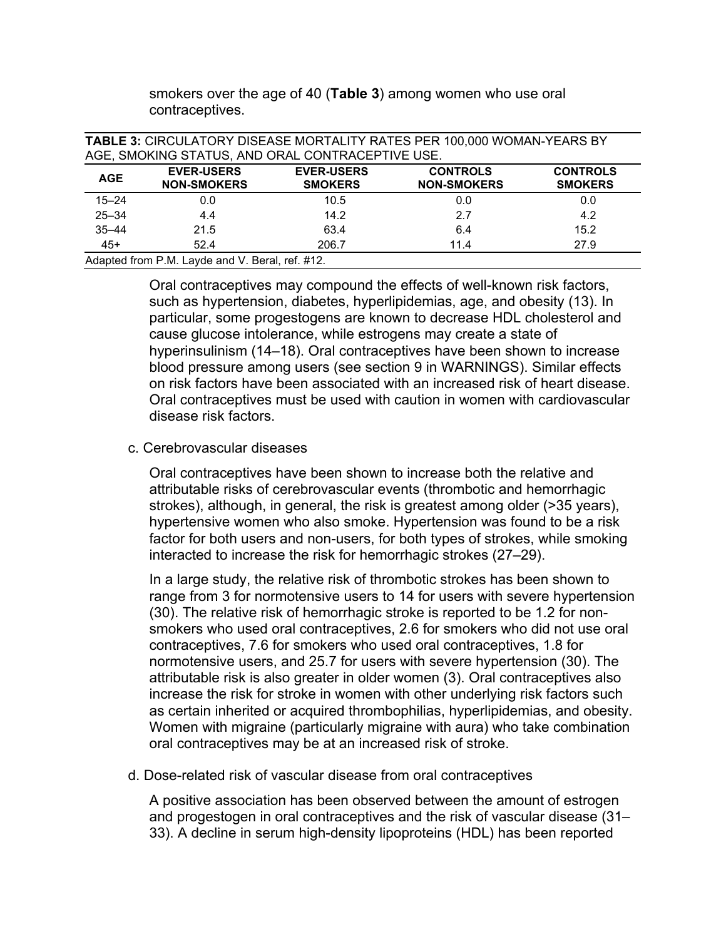| <b>IABLE 3:</b> CIRCULATORY DISEASE MORTALITY RATES PER 100,000 WOMAN-YEARS BY<br>AGE, SMOKING STATUS, AND ORAL CONTRACEPTIVE USE. |                                         |                                     |                                       |                                   |  |  |
|------------------------------------------------------------------------------------------------------------------------------------|-----------------------------------------|-------------------------------------|---------------------------------------|-----------------------------------|--|--|
| <b>AGE</b>                                                                                                                         | <b>EVER-USERS</b><br><b>NON-SMOKERS</b> | <b>EVER-USERS</b><br><b>SMOKERS</b> | <b>CONTROLS</b><br><b>NON-SMOKERS</b> | <b>CONTROLS</b><br><b>SMOKERS</b> |  |  |
| $15 - 24$                                                                                                                          | 0.0                                     | 10.5                                | 0.0                                   | 0.0                               |  |  |
| $25 - 34$                                                                                                                          | 4.4                                     | 14.2                                | 2.7                                   | 4.2                               |  |  |
| $35 - 44$                                                                                                                          | 21.5                                    | 63.4                                | 6.4                                   | 15.2                              |  |  |
| $45+$                                                                                                                              | 52.4                                    | 206.7                               | 11.4                                  | 27.9                              |  |  |

smokers over the age of 40 (**Table 3**) among women who use oral contraceptives.

**TABLE 3:** CIRCULATORY DISEASE MORTALITY RATES PER 100,000 WOMAN-YEARS BY

Oral contraceptives may compound the effects of well-known risk factors, such as hypertension, diabetes, hyperlipidemias, age, and obesity (13). In particular, some progestogens are known to decrease HDL cholesterol and cause glucose intolerance, while estrogens may create a state of hyperinsulinism (14–18). Oral contraceptives have been shown to increase blood pressure among users (see section 9 in WARNINGS). Similar effects on risk factors have been associated with an increased risk of heart disease. Oral contraceptives must be used with caution in women with cardiovascular disease risk factors.

#### c. Cerebrovascular diseases

Oral contraceptives have been shown to increase both the relative and attributable risks of cerebrovascular events (thrombotic and hemorrhagic strokes), although, in general, the risk is greatest among older (>35 years), hypertensive women who also smoke. Hypertension was found to be a risk factor for both users and non-users, for both types of strokes, while smoking interacted to increase the risk for hemorrhagic strokes (27–29).

In a large study, the relative risk of thrombotic strokes has been shown to range from 3 for normotensive users to 14 for users with severe hypertension (30). The relative risk of hemorrhagic stroke is reported to be 1.2 for nonsmokers who used oral contraceptives, 2.6 for smokers who did not use oral contraceptives, 7.6 for smokers who used oral contraceptives, 1.8 for normotensive users, and 25.7 for users with severe hypertension (30). The attributable risk is also greater in older women (3). Oral contraceptives also increase the risk for stroke in women with other underlying risk factors such as certain inherited or acquired thrombophilias, hyperlipidemias, and obesity. Women with migraine (particularly migraine with aura) who take combination oral contraceptives may be at an increased risk of stroke.

#### d. Dose-related risk of vascular disease from oral contraceptives

A positive association has been observed between the amount of estrogen and progestogen in oral contraceptives and the risk of vascular disease (31– 33). A decline in serum high-density lipoproteins (HDL) has been reported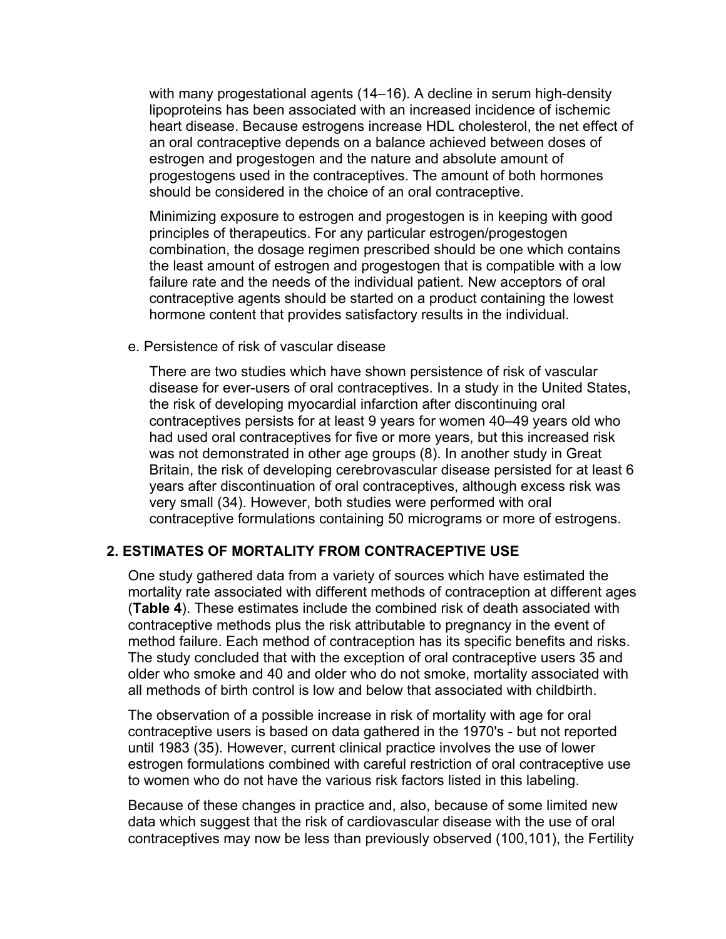with many progestational agents (14–16). A decline in serum high-density lipoproteins has been associated with an increased incidence of ischemic heart disease. Because estrogens increase HDL cholesterol, the net effect of an oral contraceptive depends on a balance achieved between doses of estrogen and progestogen and the nature and absolute amount of progestogens used in the contraceptives. The amount of both hormones should be considered in the choice of an oral contraceptive.

Minimizing exposure to estrogen and progestogen is in keeping with good principles of therapeutics. For any particular estrogen/progestogen combination, the dosage regimen prescribed should be one which contains the least amount of estrogen and progestogen that is compatible with a low failure rate and the needs of the individual patient. New acceptors of oral contraceptive agents should be started on a product containing the lowest hormone content that provides satisfactory results in the individual.

e. Persistence of risk of vascular disease

There are two studies which have shown persistence of risk of vascular disease for ever-users of oral contraceptives. In a study in the United States, the risk of developing myocardial infarction after discontinuing oral contraceptives persists for at least 9 years for women 40–49 years old who had used oral contraceptives for five or more years, but this increased risk was not demonstrated in other age groups (8). In another study in Great Britain, the risk of developing cerebrovascular disease persisted for at least 6 years after discontinuation of oral contraceptives, although excess risk was very small (34). However, both studies were performed with oral contraceptive formulations containing 50 micrograms or more of estrogens.

#### **2. ESTIMATES OF MORTALITY FROM CONTRACEPTIVE USE**

One study gathered data from a variety of sources which have estimated the mortality rate associated with different methods of contraception at different ages (**Table 4**). These estimates include the combined risk of death associated with contraceptive methods plus the risk attributable to pregnancy in the event of method failure. Each method of contraception has its specific benefits and risks. The study concluded that with the exception of oral contraceptive users 35 and older who smoke and 40 and older who do not smoke, mortality associated with all methods of birth control is low and below that associated with childbirth.

The observation of a possible increase in risk of mortality with age for oral contraceptive users is based on data gathered in the 1970's - but not reported until 1983 (35). However, current clinical practice involves the use of lower estrogen formulations combined with careful restriction of oral contraceptive use to women who do not have the various risk factors listed in this labeling.

Because of these changes in practice and, also, because of some limited new data which suggest that the risk of cardiovascular disease with the use of oral contraceptives may now be less than previously observed (100,101), the Fertility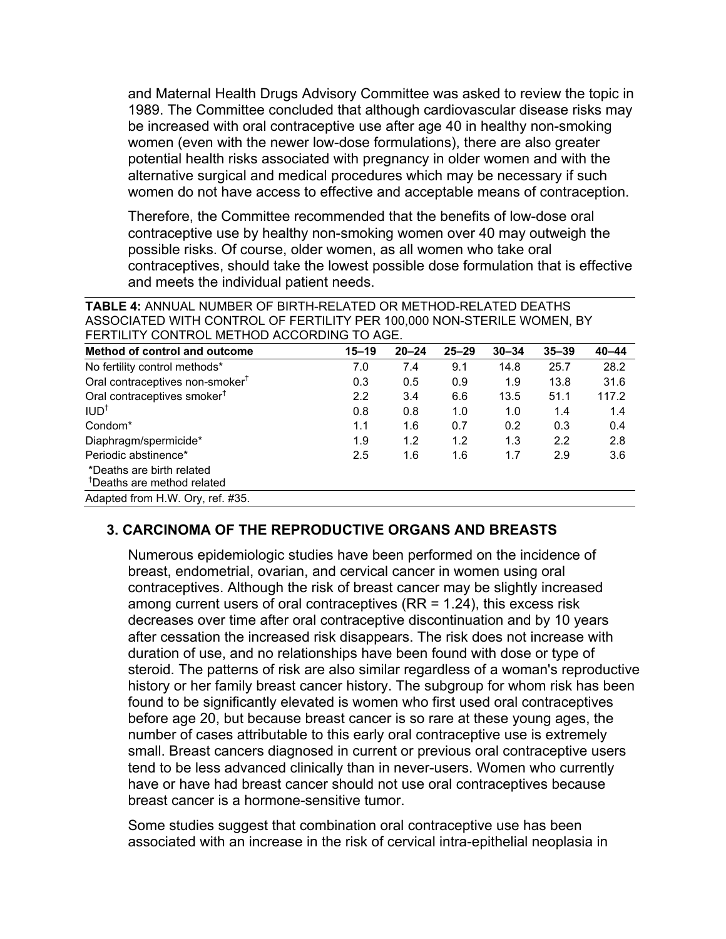and Maternal Health Drugs Advisory Committee was asked to review the topic in 1989. The Committee concluded that although cardiovascular disease risks may be increased with oral contraceptive use after age 40 in healthy non-smoking women (even with the newer low-dose formulations), there are also greater potential health risks associated with pregnancy in older women and with the alternative surgical and medical procedures which may be necessary if such women do not have access to effective and acceptable means of contraception.

Therefore, the Committee recommended that the benefits of low-dose oral contraceptive use by healthy non-smoking women over 40 may outweigh the possible risks. Of course, older women, as all women who take oral contraceptives, should take the lowest possible dose formulation that is effective and meets the individual patient needs.

**TABLE 4:** ANNUAL NUMBER OF BIRTH-RELATED OR METHOD-RELATED DEATHS ASSOCIATED WITH CONTROL OF FERTILITY PER 100,000 NON-STERILE WOMEN, BY FERTILITY CONTROL METHOD ACCORDING TO AGE.

| Method of control and outcome                                       | $15 - 19$ | $20 - 24$ | $25 - 29$ | $30 - 34$ | $35 - 39$ | $40 - 44$ |
|---------------------------------------------------------------------|-----------|-----------|-----------|-----------|-----------|-----------|
| No fertility control methods*                                       | 7.0       | 7.4       | 9.1       | 14.8      | 25.7      | 28.2      |
| Oral contraceptives non-smoker <sup>†</sup>                         | 0.3       | 0.5       | 0.9       | 1.9       | 13.8      | 31.6      |
| Oral contraceptives smoker <sup>†</sup>                             | 2.2       | 3.4       | 6.6       | 13.5      | 51.1      | 117.2     |
| IUD <sup>†</sup>                                                    | 0.8       | 0.8       | 1.0       | 1.0       | 1.4       | 1.4       |
| Condom*                                                             | 1.1       | 1.6       | 0.7       | 0.2       | 0.3       | 0.4       |
| Diaphragm/spermicide*                                               | 1.9       | 1.2       | 1.2       | 1.3       | 2.2       | 2.8       |
| Periodic abstinence*                                                | 2.5       | 1.6       | 1.6       | 1.7       | 2.9       | 3.6       |
| *Deaths are birth related<br><sup>T</sup> Deaths are method related |           |           |           |           |           |           |
| Adapted from H.W. Ory, ref. #35.                                    |           |           |           |           |           |           |

# **3. CARCINOMA OF THE REPRODUCTIVE ORGANS AND BREASTS**

Numerous epidemiologic studies have been performed on the incidence of breast, endometrial, ovarian, and cervical cancer in women using oral contraceptives. Although the risk of breast cancer may be slightly increased among current users of oral contraceptives (RR = 1.24), this excess risk decreases over time after oral contraceptive discontinuation and by 10 years after cessation the increased risk disappears. The risk does not increase with duration of use, and no relationships have been found with dose or type of steroid. The patterns of risk are also similar regardless of a woman's reproductive history or her family breast cancer history. The subgroup for whom risk has been found to be significantly elevated is women who first used oral contraceptives before age 20, but because breast cancer is so rare at these young ages, the number of cases attributable to this early oral contraceptive use is extremely small. Breast cancers diagnosed in current or previous oral contraceptive users tend to be less advanced clinically than in never-users. Women who currently have or have had breast cancer should not use oral contraceptives because breast cancer is a hormone-sensitive tumor.

Some studies suggest that combination oral contraceptive use has been associated with an increase in the risk of cervical intra-epithelial neoplasia in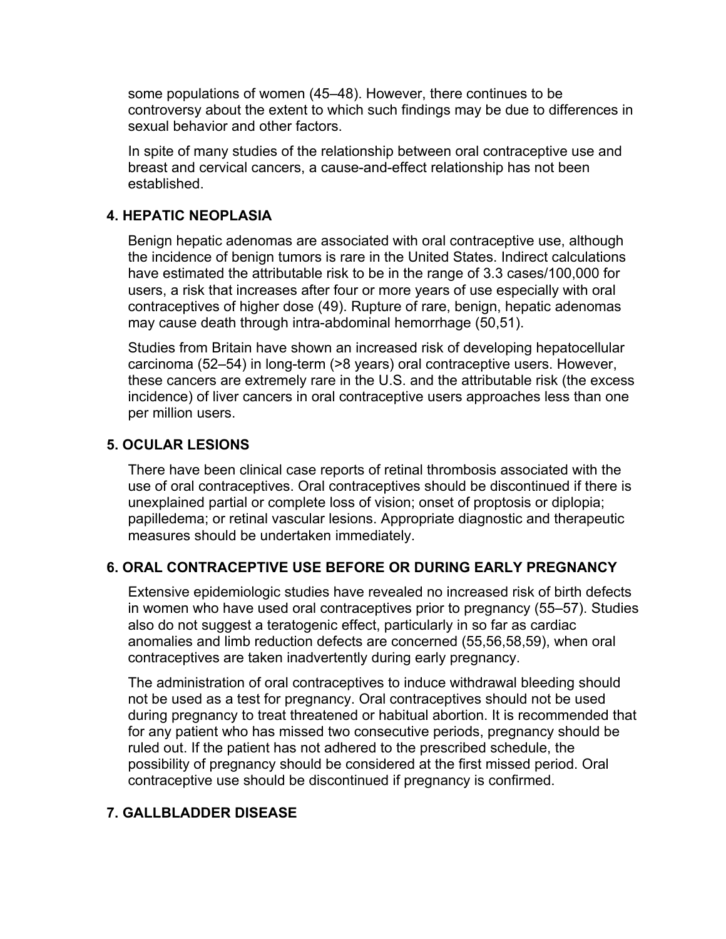some populations of women (45–48). However, there continues to be controversy about the extent to which such findings may be due to differences in sexual behavior and other factors.

In spite of many studies of the relationship between oral contraceptive use and breast and cervical cancers, a cause-and-effect relationship has not been established.

### **4. HEPATIC NEOPLASIA**

Benign hepatic adenomas are associated with oral contraceptive use, although the incidence of benign tumors is rare in the United States. Indirect calculations have estimated the attributable risk to be in the range of 3.3 cases/100,000 for users, a risk that increases after four or more years of use especially with oral contraceptives of higher dose (49). Rupture of rare, benign, hepatic adenomas may cause death through intra-abdominal hemorrhage (50,51).

Studies from Britain have shown an increased risk of developing hepatocellular carcinoma (52–54) in long-term (>8 years) oral contraceptive users. However, these cancers are extremely rare in the U.S. and the attributable risk (the excess incidence) of liver cancers in oral contraceptive users approaches less than one per million users.

### **5. OCULAR LESIONS**

There have been clinical case reports of retinal thrombosis associated with the use of oral contraceptives. Oral contraceptives should be discontinued if there is unexplained partial or complete loss of vision; onset of proptosis or diplopia; papilledema; or retinal vascular lesions. Appropriate diagnostic and therapeutic measures should be undertaken immediately.

#### **6. ORAL CONTRACEPTIVE USE BEFORE OR DURING EARLY PREGNANCY**

Extensive epidemiologic studies have revealed no increased risk of birth defects in women who have used oral contraceptives prior to pregnancy (55–57). Studies also do not suggest a teratogenic effect, particularly in so far as cardiac anomalies and limb reduction defects are concerned (55,56,58,59), when oral contraceptives are taken inadvertently during early pregnancy.

The administration of oral contraceptives to induce withdrawal bleeding should not be used as a test for pregnancy. Oral contraceptives should not be used during pregnancy to treat threatened or habitual abortion. It is recommended that for any patient who has missed two consecutive periods, pregnancy should be ruled out. If the patient has not adhered to the prescribed schedule, the possibility of pregnancy should be considered at the first missed period. Oral contraceptive use should be discontinued if pregnancy is confirmed.

# **7. GALLBLADDER DISEASE**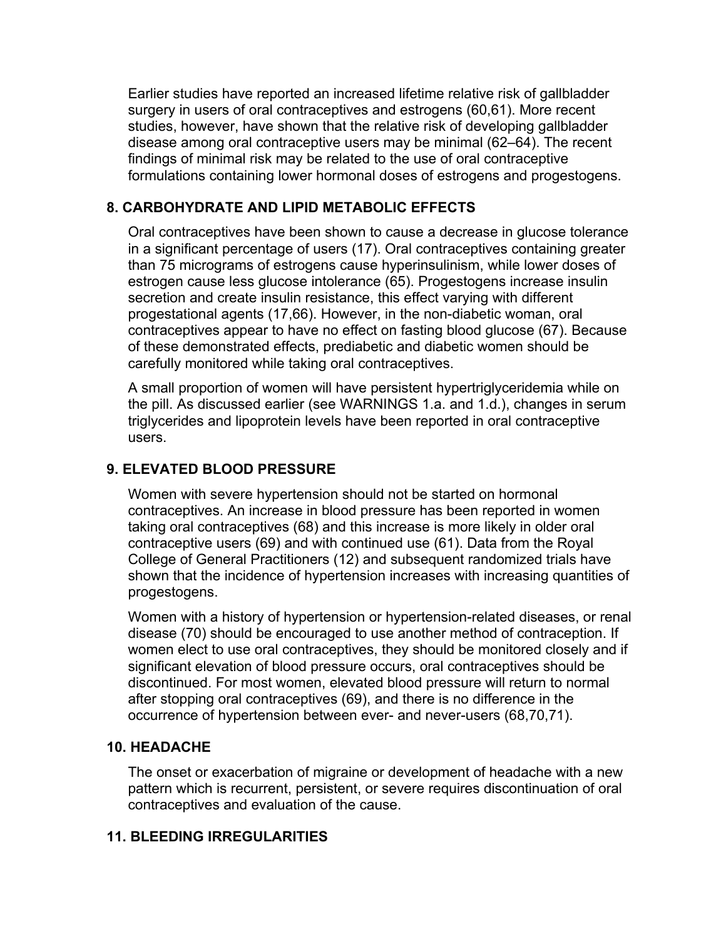Earlier studies have reported an increased lifetime relative risk of gallbladder surgery in users of oral contraceptives and estrogens (60,61). More recent studies, however, have shown that the relative risk of developing gallbladder disease among oral contraceptive users may be minimal (62–64). The recent findings of minimal risk may be related to the use of oral contraceptive formulations containing lower hormonal doses of estrogens and progestogens.

# **8. CARBOHYDRATE AND LIPID METABOLIC EFFECTS**

Oral contraceptives have been shown to cause a decrease in glucose tolerance in a significant percentage of users (17). Oral contraceptives containing greater than 75 micrograms of estrogens cause hyperinsulinism, while lower doses of estrogen cause less glucose intolerance (65). Progestogens increase insulin secretion and create insulin resistance, this effect varying with different progestational agents (17,66). However, in the non-diabetic woman, oral contraceptives appear to have no effect on fasting blood glucose (67). Because of these demonstrated effects, prediabetic and diabetic women should be carefully monitored while taking oral contraceptives.

A small proportion of women will have persistent hypertriglyceridemia while on the pill. As discussed earlier (see WARNINGS 1.a. and 1.d.), changes in serum triglycerides and lipoprotein levels have been reported in oral contraceptive users.

# **9. ELEVATED BLOOD PRESSURE**

Women with severe hypertension should not be started on hormonal contraceptives. An increase in blood pressure has been reported in women taking oral contraceptives (68) and this increase is more likely in older oral contraceptive users (69) and with continued use (61). Data from the Royal College of General Practitioners (12) and subsequent randomized trials have shown that the incidence of hypertension increases with increasing quantities of progestogens.

Women with a history of hypertension or hypertension-related diseases, or renal disease (70) should be encouraged to use another method of contraception. If women elect to use oral contraceptives, they should be monitored closely and if significant elevation of blood pressure occurs, oral contraceptives should be discontinued. For most women, elevated blood pressure will return to normal after stopping oral contraceptives (69), and there is no difference in the occurrence of hypertension between ever- and never-users (68,70,71).

#### **10. HEADACHE**

The onset or exacerbation of migraine or development of headache with a new pattern which is recurrent, persistent, or severe requires discontinuation of oral contraceptives and evaluation of the cause.

#### **11. BLEEDING IRREGULARITIES**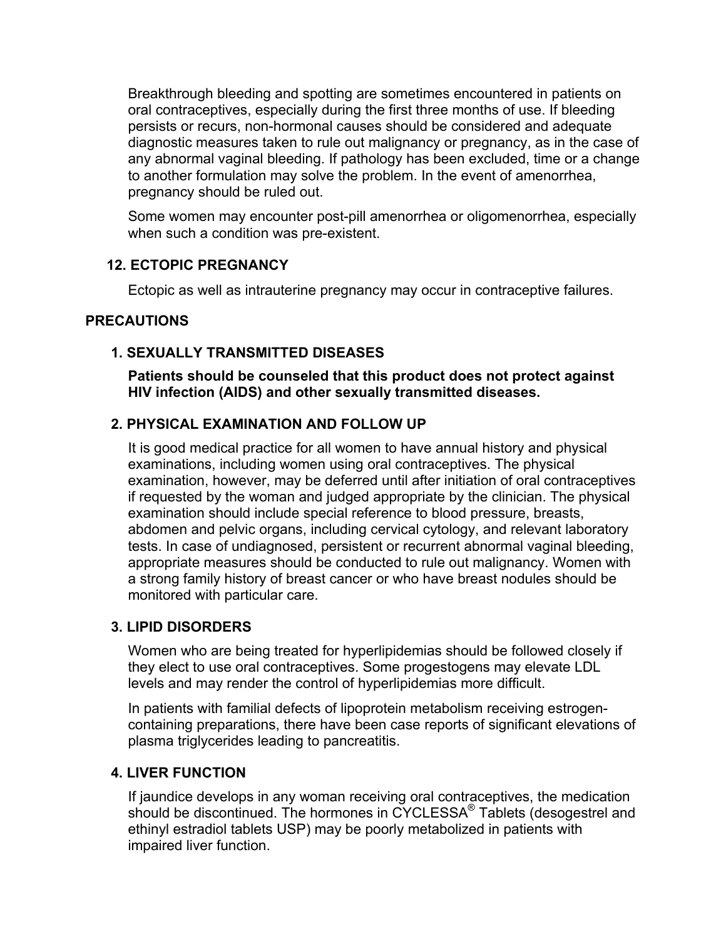Breakthrough bleeding and spotting are sometimes encountered in patients on oral contraceptives, especially during the first three months of use. If bleeding persists or recurs, non-hormonal causes should be considered and adequate diagnostic measures taken to rule out malignancy or pregnancy, as in the case of any abnormal vaginal bleeding. If pathology has been excluded, time or a change to another formulation may solve the problem. In the event of amenorrhea, pregnancy should be ruled out.

Some women may encounter post-pill amenorrhea or oligomenorrhea, especially when such a condition was pre-existent.

### **12. ECTOPIC PREGNANCY**

Ectopic as well as intrauterine pregnancy may occur in contraceptive failures.

# **PRECAUTIONS**

# **1. SEXUALLY TRANSMITTED DISEASES**

**Patients should be counseled that this product does not protect against HIV infection (AIDS) and other sexually transmitted diseases.**

### **2. PHYSICAL EXAMINATION AND FOLLOW UP**

It is good medical practice for all women to have annual history and physical examinations, including women using oral contraceptives. The physical examination, however, may be deferred until after initiation of oral contraceptives if requested by the woman and judged appropriate by the clinician. The physical examination should include special reference to blood pressure, breasts, abdomen and pelvic organs, including cervical cytology, and relevant laboratory tests. In case of undiagnosed, persistent or recurrent abnormal vaginal bleeding, appropriate measures should be conducted to rule out malignancy. Women with a strong family history of breast cancer or who have breast nodules should be monitored with particular care.

#### **3. LIPID DISORDERS**

Women who are being treated for hyperlipidemias should be followed closely if they elect to use oral contraceptives. Some progestogens may elevate LDL levels and may render the control of hyperlipidemias more difficult.

In patients with familial defects of lipoprotein metabolism receiving estrogencontaining preparations, there have been case reports of significant elevations of plasma triglycerides leading to pancreatitis.

# **4. LIVER FUNCTION**

If jaundice develops in any woman receiving oral contraceptives, the medication should be discontinued. The hormones in CYCLESSA<sup>®</sup> Tablets (desogestrel and ethinyl estradiol tablets USP) may be poorly metabolized in patients with impaired liver function.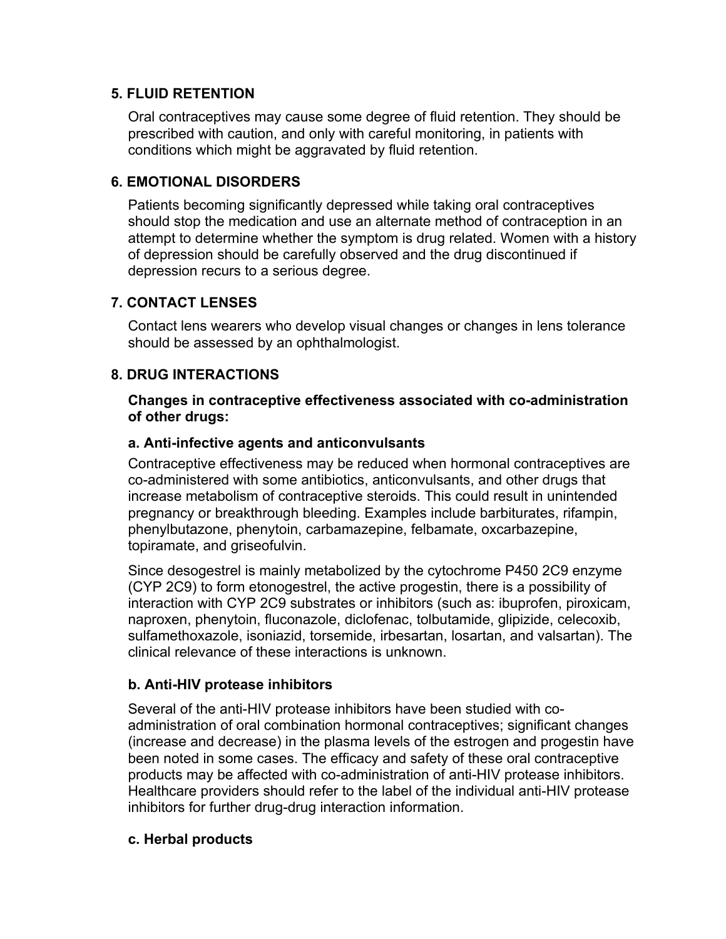### **5. FLUID RETENTION**

Oral contraceptives may cause some degree of fluid retention. They should be prescribed with caution, and only with careful monitoring, in patients with conditions which might be aggravated by fluid retention.

### **6. EMOTIONAL DISORDERS**

Patients becoming significantly depressed while taking oral contraceptives should stop the medication and use an alternate method of contraception in an attempt to determine whether the symptom is drug related. Women with a history of depression should be carefully observed and the drug discontinued if depression recurs to a serious degree.

# **7. CONTACT LENSES**

Contact lens wearers who develop visual changes or changes in lens tolerance should be assessed by an ophthalmologist.

### **8. DRUG INTERACTIONS**

#### **Changes in contraceptive effectiveness associated with co-administration of other drugs:**

#### **a. Anti-infective agents and anticonvulsants**

Contraceptive effectiveness may be reduced when hormonal contraceptives are co-administered with some antibiotics, anticonvulsants, and other drugs that increase metabolism of contraceptive steroids. This could result in unintended pregnancy or breakthrough bleeding. Examples include barbiturates, rifampin, phenylbutazone, phenytoin, carbamazepine, felbamate, oxcarbazepine, topiramate, and griseofulvin.

Since desogestrel is mainly metabolized by the cytochrome P450 2C9 enzyme (CYP 2C9) to form etonogestrel, the active progestin, there is a possibility of interaction with CYP 2C9 substrates or inhibitors (such as: ibuprofen, piroxicam, naproxen, phenytoin, fluconazole, diclofenac, tolbutamide, glipizide, celecoxib, sulfamethoxazole, isoniazid, torsemide, irbesartan, losartan, and valsartan). The clinical relevance of these interactions is unknown.

# **b. Anti-HIV protease inhibitors**

Several of the anti-HIV protease inhibitors have been studied with coadministration of oral combination hormonal contraceptives; significant changes (increase and decrease) in the plasma levels of the estrogen and progestin have been noted in some cases. The efficacy and safety of these oral contraceptive products may be affected with co-administration of anti-HIV protease inhibitors. Healthcare providers should refer to the label of the individual anti-HIV protease inhibitors for further drug-drug interaction information.

#### **c. Herbal products**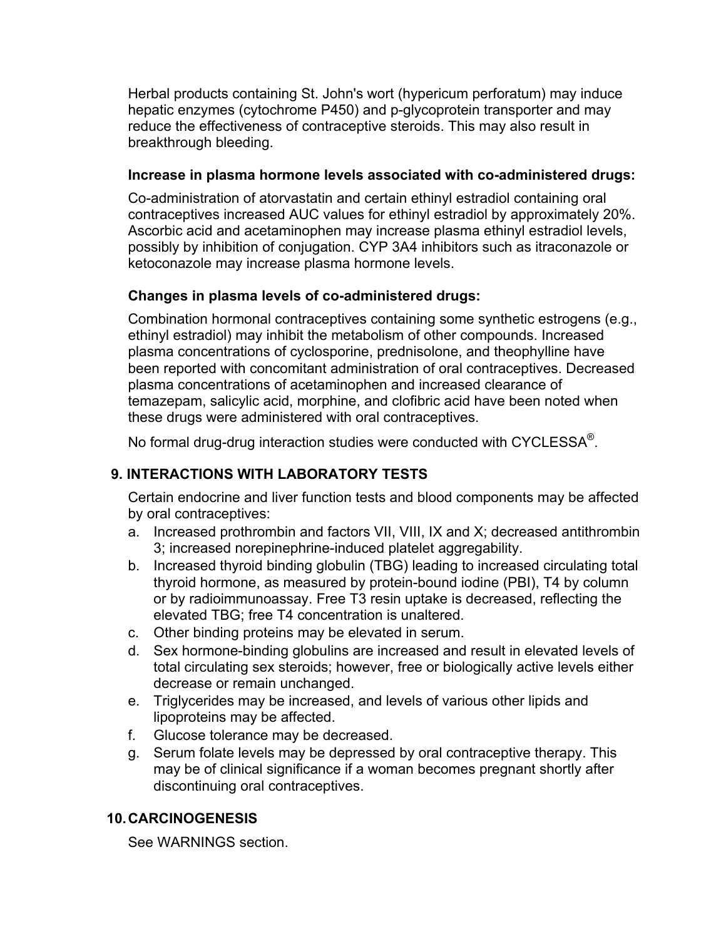Herbal products containing St. John's wort (hypericum perforatum) may induce hepatic enzymes (cytochrome P450) and p-glycoprotein transporter and may reduce the effectiveness of contraceptive steroids. This may also result in breakthrough bleeding.

#### **Increase in plasma hormone levels associated with co-administered drugs:**

Co-administration of atorvastatin and certain ethinyl estradiol containing oral contraceptives increased AUC values for ethinyl estradiol by approximately 20%. Ascorbic acid and acetaminophen may increase plasma ethinyl estradiol levels, possibly by inhibition of conjugation. CYP 3A4 inhibitors such as itraconazole or ketoconazole may increase plasma hormone levels.

# **Changes in plasma levels of co-administered drugs:**

Combination hormonal contraceptives containing some synthetic estrogens (e.g., ethinyl estradiol) may inhibit the metabolism of other compounds. Increased plasma concentrations of cyclosporine, prednisolone, and theophylline have been reported with concomitant administration of oral contraceptives. Decreased plasma concentrations of acetaminophen and increased clearance of temazepam, salicylic acid, morphine, and clofibric acid have been noted when these drugs were administered with oral contraceptives.

No formal drug-drug interaction studies were conducted with CYCLESSA®.

# **9. INTERACTIONS WITH LABORATORY TESTS**

Certain endocrine and liver function tests and blood components may be affected by oral contraceptives:

- a. Increased prothrombin and factors VII, VIII, IX and X; decreased antithrombin 3; increased norepinephrine-induced platelet aggregability.
- b. Increased thyroid binding globulin (TBG) leading to increased circulating total thyroid hormone, as measured by protein-bound iodine (PBI), T4 by column or by radioimmunoassay. Free T3 resin uptake is decreased, reflecting the elevated TBG; free T4 concentration is unaltered.
- c. Other binding proteins may be elevated in serum.
- d. Sex hormone-binding globulins are increased and result in elevated levels of total circulating sex steroids; however, free or biologically active levels either decrease or remain unchanged.
- e. Triglycerides may be increased, and levels of various other lipids and lipoproteins may be affected.
- f. Glucose tolerance may be decreased.
- g. Serum folate levels may be depressed by oral contraceptive therapy. This may be of clinical significance if a woman becomes pregnant shortly after discontinuing oral contraceptives.

# **10. CARCINOGENESIS**

See WARNINGS section.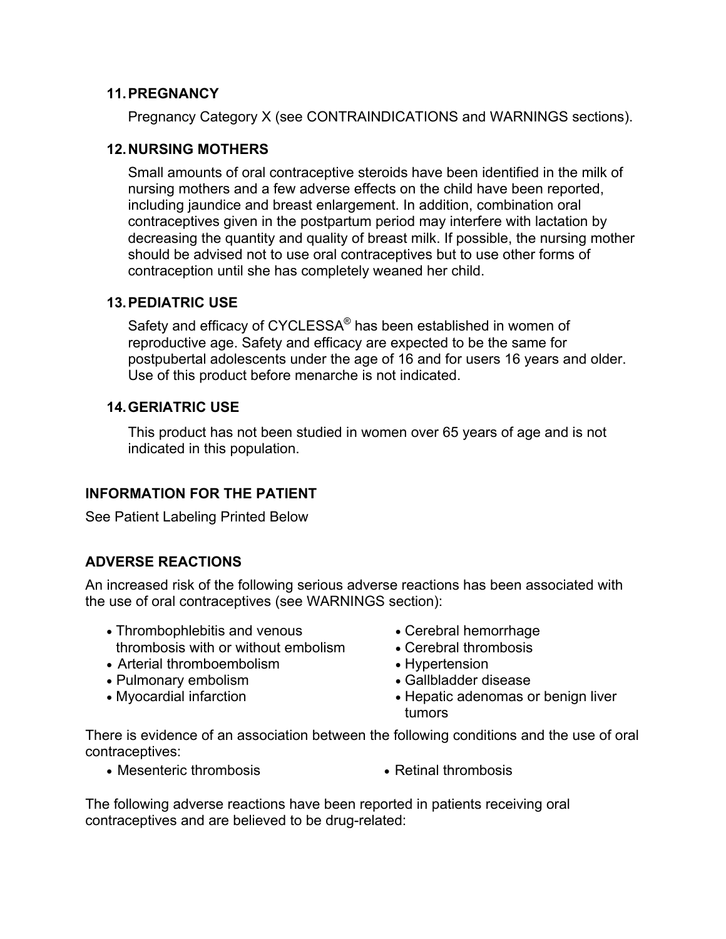#### **11. PREGNANCY**

Pregnancy Category X (see CONTRAINDICATIONS and WARNINGS sections).

# **12. NURSING MOTHERS**

Small amounts of oral contraceptive steroids have been identified in the milk of nursing mothers and a few adverse effects on the child have been reported, including jaundice and breast enlargement. In addition, combination oral contraceptives given in the postpartum period may interfere with lactation by decreasing the quantity and quality of breast milk. If possible, the nursing mother should be advised not to use oral contraceptives but to use other forms of contraception until she has completely weaned her child.

#### **13. PEDIATRIC USE**

Safety and efficacy of CYCLESSA® has been established in women of reproductive age. Safety and efficacy are expected to be the same for postpubertal adolescents under the age of 16 and for users 16 years and older. Use of this product before menarche is not indicated.

### **14. GERIATRIC USE**

This product has not been studied in women over 65 years of age and is not indicated in this population.

# **INFORMATION FOR THE PATIENT**

See Patient Labeling Printed Below

# **ADVERSE REACTIONS**

An increased risk of the following serious adverse reactions has been associated with the use of oral contraceptives (see WARNINGS section):

- Thrombophlebitis and venous thrombosis with or without embolism
- Arterial thromboembolism
- Pulmonary embolism
- Myocardial infarction
- Cerebral hemorrhage
- Cerebral thrombosis
- Hypertension
- Gallbladder disease
- Hepatic adenomas or benign liver tumors

There is evidence of an association between the following conditions and the use of oral contraceptives:

- Mesenteric thrombosis  **Retinal thrombosis**
- 

The following adverse reactions have been reported in patients receiving oral contraceptives and are believed to be drug-related: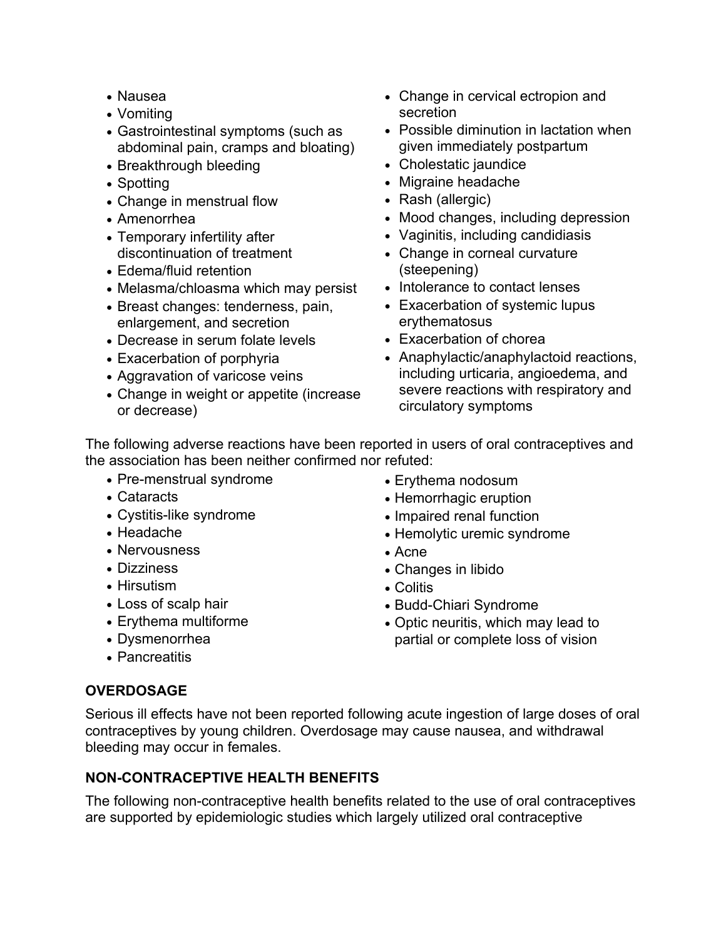- Nausea
- Vomiting
- Gastrointestinal symptoms (such as abdominal pain, cramps and bloating)
- Breakthrough bleeding
- Spotting
- Change in menstrual flow
- Amenorrhea
- Temporary infertility after discontinuation of treatment
- Edema/fluid retention
- Melasma/chloasma which may persist
- Breast changes: tenderness, pain, enlargement, and secretion
- Decrease in serum folate levels
- Exacerbation of porphyria
- Aggravation of varicose veins
- Change in weight or appetite (increase or decrease)
- Change in cervical ectropion and secretion
- Possible diminution in lactation when given immediately postpartum
- Cholestatic jaundice
- Migraine headache
- Rash (allergic)
- Mood changes, including depression
- Vaginitis, including candidiasis
- Change in corneal curvature (steepening)
- Intolerance to contact lenses
- Exacerbation of systemic lupus erythematosus
- Exacerbation of chorea
- Anaphylactic/anaphylactoid reactions, including urticaria, angioedema, and severe reactions with respiratory and circulatory symptoms

The following adverse reactions have been reported in users of oral contraceptives and the association has been neither confirmed nor refuted:

- Pre-menstrual syndrome
- Cataracts
- Cystitis-like syndrome
- Headache
- Nervousness
- Dizziness
- Hirsutism
- Loss of scalp hair
- Erythema multiforme
- Dysmenorrhea
- Pancreatitis
- Erythema nodosum • Hemorrhagic eruption
- Impaired renal function
- Hemolytic uremic syndrome
- Acne
- Changes in libido
- Colitis
- Budd-Chiari Syndrome
- Optic neuritis, which may lead to partial or complete loss of vision

# **OVERDOSAGE**

Serious ill effects have not been reported following acute ingestion of large doses of oral contraceptives by young children. Overdosage may cause nausea, and withdrawal bleeding may occur in females.

# **NON-CONTRACEPTIVE HEALTH BENEFITS**

The following non-contraceptive health benefits related to the use of oral contraceptives are supported by epidemiologic studies which largely utilized oral contraceptive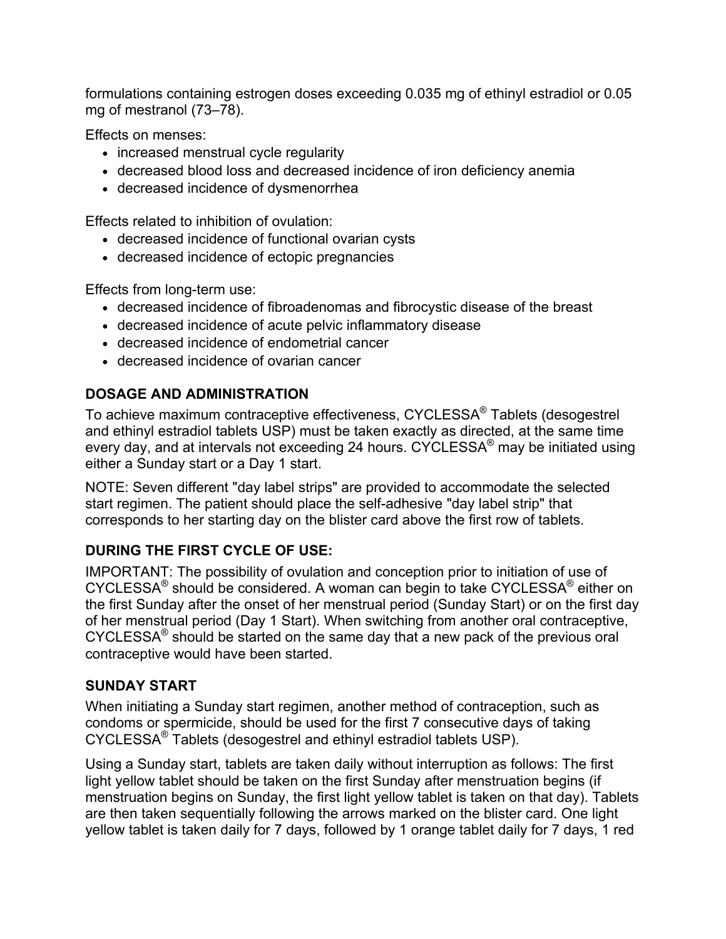formulations containing estrogen doses exceeding 0.035 mg of ethinyl estradiol or 0.05 mg of mestranol (73–78).

Effects on menses:

- increased menstrual cycle regularity
- decreased blood loss and decreased incidence of iron deficiency anemia
- decreased incidence of dysmenorrhea

Effects related to inhibition of ovulation:

- decreased incidence of functional ovarian cysts
- decreased incidence of ectopic pregnancies

Effects from long-term use:

- decreased incidence of fibroadenomas and fibrocystic disease of the breast
- decreased incidence of acute pelvic inflammatory disease
- decreased incidence of endometrial cancer
- decreased incidence of ovarian cancer

# **DOSAGE AND ADMINISTRATION**

To achieve maximum contraceptive effectiveness, CYCLESSA® Tablets (desogestrel and ethinyl estradiol tablets USP) must be taken exactly as directed, at the same time every day, and at intervals not exceeding 24 hours. CYCLESSA® may be initiated using either a Sunday start or a Day 1 start.

NOTE: Seven different "day label strips" are provided to accommodate the selected start regimen. The patient should place the self-adhesive "day label strip" that corresponds to her starting day on the blister card above the first row of tablets.

# **DURING THE FIRST CYCLE OF USE:**

IMPORTANT: The possibility of ovulation and conception prior to initiation of use of CYCLESSA® should be considered. A woman can begin to take CYCLESSA® either on the first Sunday after the onset of her menstrual period (Sunday Start) or on the first day of her menstrual period (Day 1 Start). When switching from another oral contraceptive,  $CYCLESSA<sup>®</sup>$  should be started on the same day that a new pack of the previous oral contraceptive would have been started.

#### **SUNDAY START**

When initiating a Sunday start regimen, another method of contraception, such as condoms or spermicide, should be used for the first 7 consecutive days of taking CYCLESSA® Tablets (desogestrel and ethinyl estradiol tablets USP).

Using a Sunday start, tablets are taken daily without interruption as follows: The first light yellow tablet should be taken on the first Sunday after menstruation begins (if menstruation begins on Sunday, the first light yellow tablet is taken on that day). Tablets are then taken sequentially following the arrows marked on the blister card. One light yellow tablet is taken daily for 7 days, followed by 1 orange tablet daily for 7 days, 1 red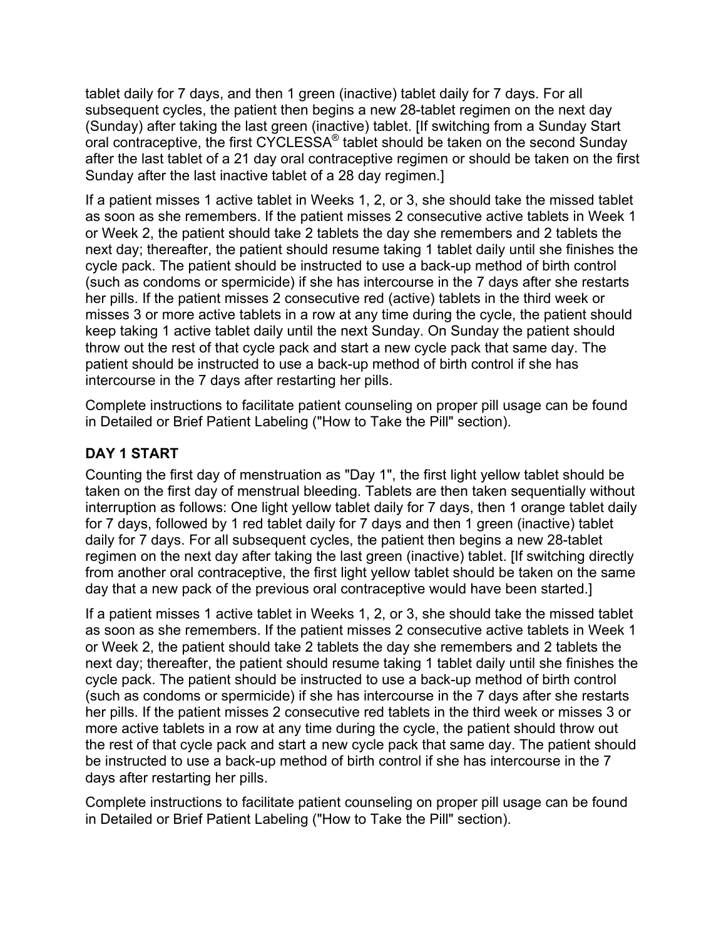tablet daily for 7 days, and then 1 green (inactive) tablet daily for 7 days. For all subsequent cycles, the patient then begins a new 28-tablet regimen on the next day (Sunday) after taking the last green (inactive) tablet. [If switching from a Sunday Start oral contraceptive, the first CYCLESSA® tablet should be taken on the second Sunday after the last tablet of a 21 day oral contraceptive regimen or should be taken on the first Sunday after the last inactive tablet of a 28 day regimen.]

If a patient misses 1 active tablet in Weeks 1, 2, or 3, she should take the missed tablet as soon as she remembers. If the patient misses 2 consecutive active tablets in Week 1 or Week 2, the patient should take 2 tablets the day she remembers and 2 tablets the next day; thereafter, the patient should resume taking 1 tablet daily until she finishes the cycle pack. The patient should be instructed to use a back-up method of birth control (such as condoms or spermicide) if she has intercourse in the 7 days after she restarts her pills. If the patient misses 2 consecutive red (active) tablets in the third week or misses 3 or more active tablets in a row at any time during the cycle, the patient should keep taking 1 active tablet daily until the next Sunday. On Sunday the patient should throw out the rest of that cycle pack and start a new cycle pack that same day. The patient should be instructed to use a back-up method of birth control if she has intercourse in the 7 days after restarting her pills.

Complete instructions to facilitate patient counseling on proper pill usage can be found in Detailed or Brief Patient Labeling ("How to Take the Pill" section).

# **DAY 1 START**

Counting the first day of menstruation as "Day 1", the first light yellow tablet should be taken on the first day of menstrual bleeding. Tablets are then taken sequentially without interruption as follows: One light yellow tablet daily for 7 days, then 1 orange tablet daily for 7 days, followed by 1 red tablet daily for 7 days and then 1 green (inactive) tablet daily for 7 days. For all subsequent cycles, the patient then begins a new 28-tablet regimen on the next day after taking the last green (inactive) tablet. [If switching directly from another oral contraceptive, the first light yellow tablet should be taken on the same day that a new pack of the previous oral contraceptive would have been started.]

If a patient misses 1 active tablet in Weeks 1, 2, or 3, she should take the missed tablet as soon as she remembers. If the patient misses 2 consecutive active tablets in Week 1 or Week 2, the patient should take 2 tablets the day she remembers and 2 tablets the next day; thereafter, the patient should resume taking 1 tablet daily until she finishes the cycle pack. The patient should be instructed to use a back-up method of birth control (such as condoms or spermicide) if she has intercourse in the 7 days after she restarts her pills. If the patient misses 2 consecutive red tablets in the third week or misses 3 or more active tablets in a row at any time during the cycle, the patient should throw out the rest of that cycle pack and start a new cycle pack that same day. The patient should be instructed to use a back-up method of birth control if she has intercourse in the 7 days after restarting her pills.

Complete instructions to facilitate patient counseling on proper pill usage can be found in Detailed or Brief Patient Labeling ("How to Take the Pill" section).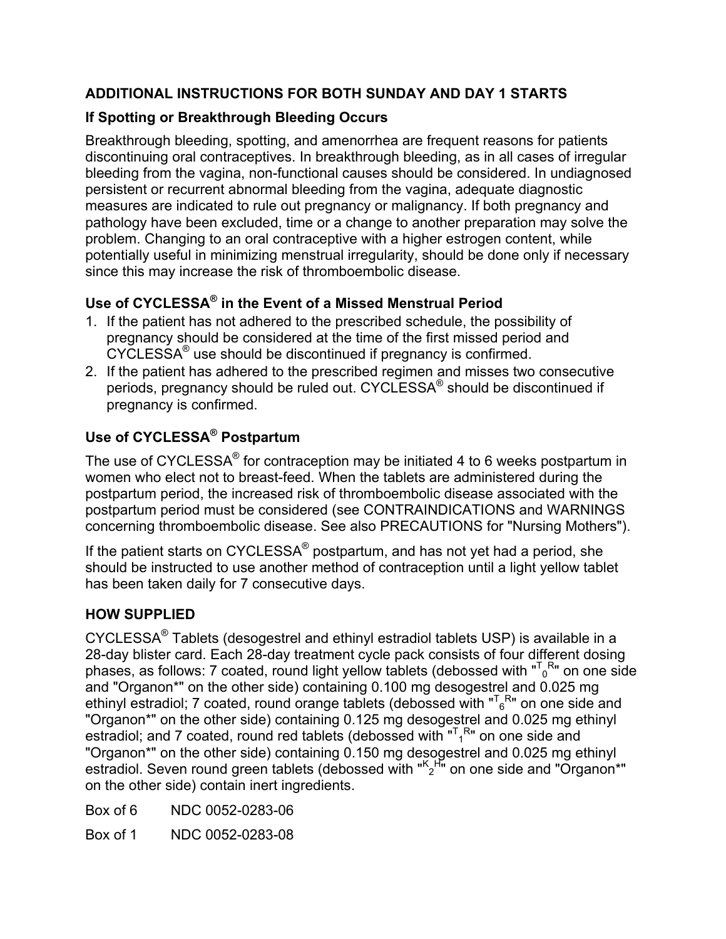# **ADDITIONAL INSTRUCTIONS FOR BOTH SUNDAY AND DAY 1 STARTS**

# **If Spotting or Breakthrough Bleeding Occurs**

Breakthrough bleeding, spotting, and amenorrhea are frequent reasons for patients discontinuing oral contraceptives. In breakthrough bleeding, as in all cases of irregular bleeding from the vagina, non-functional causes should be considered. In undiagnosed persistent or recurrent abnormal bleeding from the vagina, adequate diagnostic measures are indicated to rule out pregnancy or malignancy. If both pregnancy and pathology have been excluded, time or a change to another preparation may solve the problem. Changing to an oral contraceptive with a higher estrogen content, while potentially useful in minimizing menstrual irregularity, should be done only if necessary since this may increase the risk of thromboembolic disease.

# **Use of CYCLESSA® in the Event of a Missed Menstrual Period**

- 1. If the patient has not adhered to the prescribed schedule, the possibility of pregnancy should be considered at the time of the first missed period and CYCLESSA® use should be discontinued if pregnancy is confirmed.
- 2. If the patient has adhered to the prescribed regimen and misses two consecutive periods, pregnancy should be ruled out. CYCLESSA<sup>®</sup> should be discontinued if pregnancy is confirmed.

# **Use of CYCLESSA® Postpartum**

The use of CYCLESSA<sup>®</sup> for contraception may be initiated 4 to 6 weeks postpartum in women who elect not to breast-feed. When the tablets are administered during the postpartum period, the increased risk of thromboembolic disease associated with the postpartum period must be considered (see CONTRAINDICATIONS and WARNINGS concerning thromboembolic disease. See also PRECAUTIONS for "Nursing Mothers").

If the patient starts on CYCLESSA<sup>®</sup> postpartum, and has not yet had a period, she should be instructed to use another method of contraception until a light yellow tablet has been taken daily for 7 consecutive days.

# **HOW SUPPLIED**

CYCLESSA® Tablets (desogestrel and ethinyl estradiol tablets USP) is available in a 28-day blister card. Each 28-day treatment cycle pack consists of four different dosing phases, as follows: 7 coated, round light yellow tablets (debossed with  ${}^{\mathsf{tr}}{}_0{}^{\mathsf{R}}$ " on one side and "Organon\*" on the other side) containing 0.100 mg desogestrel and 0.025 mg ethinyl estradiol; 7 coated, round orange tablets (debossed with "<sup>T<sub>6</sub>R"</sup> on one side and "Organon\*" on the other side) containing 0.125 mg desogestrel and 0.025 mg ethinyl estradiol; and 7 coated, round red tablets (debossed with  ${}^{\mathsf{tr}}_1{}^{\mathsf{R}}$ " on one side and "Organon\*" on the other side) containing 0.150 mg desogestrel and 0.025 mg ethinyl estradiol. Seven round green tablets (debossed with "<sup>K</sup><sub>2</sub>H" on one side and "Organon\*" on the other side) contain inert ingredients.

Box of 6 NDC 0052-0283-06

Box of 1 NDC 0052-0283-08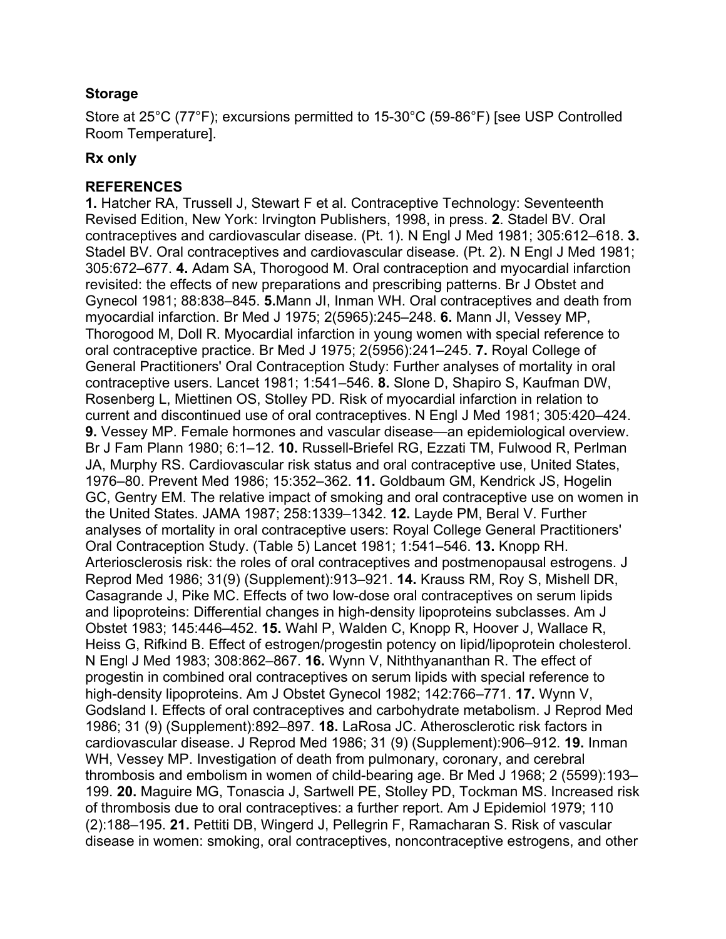#### **Storage**

Store at 25°C (77°F); excursions permitted to 15-30°C (59-86°F) [see USP Controlled Room Temperature].

#### **Rx only**

#### **REFERENCES**

**1.** Hatcher RA, Trussell J, Stewart F et al. Contraceptive Technology: Seventeenth Revised Edition, New York: Irvington Publishers, 1998, in press. **2**. Stadel BV. Oral contraceptives and cardiovascular disease. (Pt. 1). N Engl J Med 1981; 305:612–618. **3.** Stadel BV. Oral contraceptives and cardiovascular disease. (Pt. 2). N Engl J Med 1981; 305:672–677. **4.** Adam SA, Thorogood M. Oral contraception and myocardial infarction revisited: the effects of new preparations and prescribing patterns. Br J Obstet and Gynecol 1981; 88:838–845. **5.**Mann JI, Inman WH. Oral contraceptives and death from myocardial infarction. Br Med J 1975; 2(5965):245–248. **6.** Mann JI, Vessey MP, Thorogood M, Doll R. Myocardial infarction in young women with special reference to oral contraceptive practice. Br Med J 1975; 2(5956):241–245. **7.** Royal College of General Practitioners' Oral Contraception Study: Further analyses of mortality in oral contraceptive users. Lancet 1981; 1:541–546. **8.** Slone D, Shapiro S, Kaufman DW, Rosenberg L, Miettinen OS, Stolley PD. Risk of myocardial infarction in relation to current and discontinued use of oral contraceptives. N Engl J Med 1981; 305:420–424. **9.** Vessey MP. Female hormones and vascular disease—an epidemiological overview. Br J Fam Plann 1980; 6:1–12. **10.** Russell-Briefel RG, Ezzati TM, Fulwood R, Perlman JA, Murphy RS. Cardiovascular risk status and oral contraceptive use, United States, 1976–80. Prevent Med 1986; 15:352–362. **11.** Goldbaum GM, Kendrick JS, Hogelin GC, Gentry EM. The relative impact of smoking and oral contraceptive use on women in the United States. JAMA 1987; 258:1339–1342. **12.** Layde PM, Beral V. Further analyses of mortality in oral contraceptive users: Royal College General Practitioners' Oral Contraception Study. (Table 5) Lancet 1981; 1:541–546. **13.** Knopp RH. Arteriosclerosis risk: the roles of oral contraceptives and postmenopausal estrogens. J Reprod Med 1986; 31(9) (Supplement):913–921. **14.** Krauss RM, Roy S, Mishell DR, Casagrande J, Pike MC. Effects of two low-dose oral contraceptives on serum lipids and lipoproteins: Differential changes in high-density lipoproteins subclasses. Am J Obstet 1983; 145:446–452. **15.** Wahl P, Walden C, Knopp R, Hoover J, Wallace R, Heiss G, Rifkind B. Effect of estrogen/progestin potency on lipid/lipoprotein cholesterol. N Engl J Med 1983; 308:862–867. **16.** Wynn V, Niththyananthan R. The effect of progestin in combined oral contraceptives on serum lipids with special reference to high-density lipoproteins. Am J Obstet Gynecol 1982; 142:766–771. **17.** Wynn V, Godsland I. Effects of oral contraceptives and carbohydrate metabolism. J Reprod Med 1986; 31 (9) (Supplement):892–897. **18.** LaRosa JC. Atherosclerotic risk factors in cardiovascular disease. J Reprod Med 1986; 31 (9) (Supplement):906–912. **19.** Inman WH, Vessey MP. Investigation of death from pulmonary, coronary, and cerebral thrombosis and embolism in women of child-bearing age. Br Med J 1968; 2 (5599):193– 199. **20.** Maguire MG, Tonascia J, Sartwell PE, Stolley PD, Tockman MS. Increased risk of thrombosis due to oral contraceptives: a further report. Am J Epidemiol 1979; 110 (2):188–195. **21.** Pettiti DB, Wingerd J, Pellegrin F, Ramacharan S. Risk of vascular disease in women: smoking, oral contraceptives, noncontraceptive estrogens, and other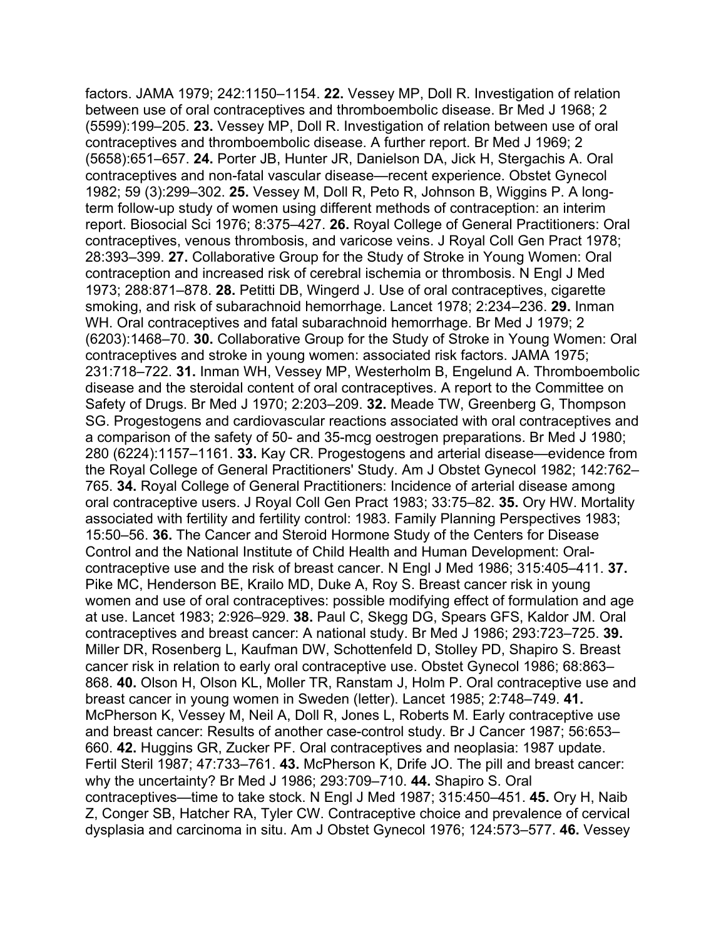factors. JAMA 1979; 242:1150–1154. **22.** Vessey MP, Doll R. Investigation of relation between use of oral contraceptives and thromboembolic disease. Br Med J 1968; 2 (5599):199–205. **23.** Vessey MP, Doll R. Investigation of relation between use of oral contraceptives and thromboembolic disease. A further report. Br Med J 1969; 2 (5658):651–657. **24.** Porter JB, Hunter JR, Danielson DA, Jick H, Stergachis A. Oral contraceptives and non-fatal vascular disease—recent experience. Obstet Gynecol 1982; 59 (3):299–302. **25.** Vessey M, Doll R, Peto R, Johnson B, Wiggins P. A longterm follow-up study of women using different methods of contraception: an interim report. Biosocial Sci 1976; 8:375–427. **26.** Royal College of General Practitioners: Oral contraceptives, venous thrombosis, and varicose veins. J Royal Coll Gen Pract 1978; 28:393–399. **27.** Collaborative Group for the Study of Stroke in Young Women: Oral contraception and increased risk of cerebral ischemia or thrombosis. N Engl J Med 1973; 288:871–878. **28.** Petitti DB, Wingerd J. Use of oral contraceptives, cigarette smoking, and risk of subarachnoid hemorrhage. Lancet 1978; 2:234–236. **29.** Inman WH. Oral contraceptives and fatal subarachnoid hemorrhage. Br Med J 1979; 2 (6203):1468–70. **30.** Collaborative Group for the Study of Stroke in Young Women: Oral contraceptives and stroke in young women: associated risk factors. JAMA 1975; 231:718–722. **31.** Inman WH, Vessey MP, Westerholm B, Engelund A. Thromboembolic disease and the steroidal content of oral contraceptives. A report to the Committee on Safety of Drugs. Br Med J 1970; 2:203–209. **32.** Meade TW, Greenberg G, Thompson SG. Progestogens and cardiovascular reactions associated with oral contraceptives and a comparison of the safety of 50- and 35-mcg oestrogen preparations. Br Med J 1980; 280 (6224):1157–1161. **33.** Kay CR. Progestogens and arterial disease—evidence from the Royal College of General Practitioners' Study. Am J Obstet Gynecol 1982; 142:762– 765. **34.** Royal College of General Practitioners: Incidence of arterial disease among oral contraceptive users. J Royal Coll Gen Pract 1983; 33:75–82. **35.** Ory HW. Mortality associated with fertility and fertility control: 1983. Family Planning Perspectives 1983; 15:50–56. **36.** The Cancer and Steroid Hormone Study of the Centers for Disease Control and the National Institute of Child Health and Human Development: Oralcontraceptive use and the risk of breast cancer. N Engl J Med 1986; 315:405–411. **37.**  Pike MC, Henderson BE, Krailo MD, Duke A, Roy S. Breast cancer risk in young women and use of oral contraceptives: possible modifying effect of formulation and age at use. Lancet 1983; 2:926–929. **38.** Paul C, Skegg DG, Spears GFS, Kaldor JM. Oral contraceptives and breast cancer: A national study. Br Med J 1986; 293:723–725. **39.**  Miller DR, Rosenberg L, Kaufman DW, Schottenfeld D, Stolley PD, Shapiro S. Breast cancer risk in relation to early oral contraceptive use. Obstet Gynecol 1986; 68:863– 868. **40.** Olson H, Olson KL, Moller TR, Ranstam J, Holm P. Oral contraceptive use and breast cancer in young women in Sweden (letter). Lancet 1985; 2:748–749. **41.**  McPherson K, Vessey M, Neil A, Doll R, Jones L, Roberts M. Early contraceptive use and breast cancer: Results of another case-control study. Br J Cancer 1987; 56:653– 660. **42.** Huggins GR, Zucker PF. Oral contraceptives and neoplasia: 1987 update. Fertil Steril 1987; 47:733–761. **43.** McPherson K, Drife JO. The pill and breast cancer: why the uncertainty? Br Med J 1986; 293:709–710. **44.** Shapiro S. Oral contraceptives—time to take stock. N Engl J Med 1987; 315:450–451. **45.** Ory H, Naib Z, Conger SB, Hatcher RA, Tyler CW. Contraceptive choice and prevalence of cervical dysplasia and carcinoma in situ. Am J Obstet Gynecol 1976; 124:573–577. **46.** Vessey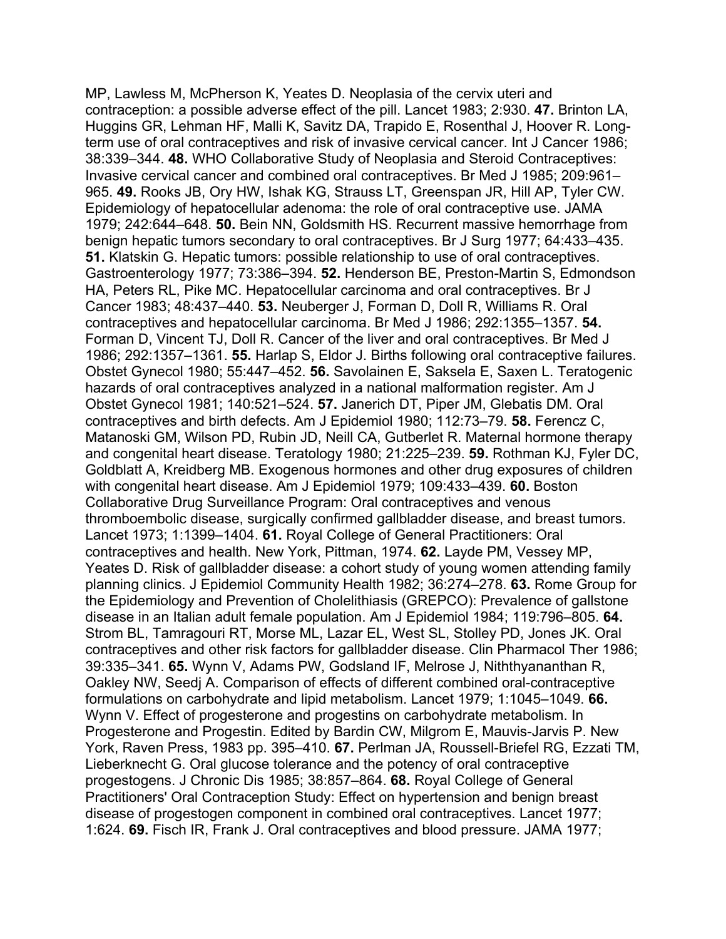MP, Lawless M, McPherson K, Yeates D. Neoplasia of the cervix uteri and contraception: a possible adverse effect of the pill. Lancet 1983; 2:930. **47.** Brinton LA, Huggins GR, Lehman HF, Malli K, Savitz DA, Trapido E, Rosenthal J, Hoover R. Longterm use of oral contraceptives and risk of invasive cervical cancer. Int J Cancer 1986; 38:339–344. **48.** WHO Collaborative Study of Neoplasia and Steroid Contraceptives: Invasive cervical cancer and combined oral contraceptives. Br Med J 1985; 209:961– 965. **49.** Rooks JB, Ory HW, Ishak KG, Strauss LT, Greenspan JR, Hill AP, Tyler CW. Epidemiology of hepatocellular adenoma: the role of oral contraceptive use. JAMA 1979; 242:644–648. **50.** Bein NN, Goldsmith HS. Recurrent massive hemorrhage from benign hepatic tumors secondary to oral contraceptives. Br J Surg 1977; 64:433–435. **51.** Klatskin G. Hepatic tumors: possible relationship to use of oral contraceptives. Gastroenterology 1977; 73:386–394. **52.** Henderson BE, Preston-Martin S, Edmondson HA, Peters RL, Pike MC. Hepatocellular carcinoma and oral contraceptives. Br J Cancer 1983; 48:437–440. **53.** Neuberger J, Forman D, Doll R, Williams R. Oral contraceptives and hepatocellular carcinoma. Br Med J 1986; 292:1355–1357. **54.**  Forman D, Vincent TJ, Doll R. Cancer of the liver and oral contraceptives. Br Med J 1986; 292:1357–1361. **55.** Harlap S, Eldor J. Births following oral contraceptive failures. Obstet Gynecol 1980; 55:447–452. **56.** Savolainen E, Saksela E, Saxen L. Teratogenic hazards of oral contraceptives analyzed in a national malformation register. Am J Obstet Gynecol 1981; 140:521–524. **57.** Janerich DT, Piper JM, Glebatis DM. Oral contraceptives and birth defects. Am J Epidemiol 1980; 112:73–79. **58.** Ferencz C, Matanoski GM, Wilson PD, Rubin JD, Neill CA, Gutberlet R. Maternal hormone therapy and congenital heart disease. Teratology 1980; 21:225–239. **59.** Rothman KJ, Fyler DC, Goldblatt A, Kreidberg MB. Exogenous hormones and other drug exposures of children with congenital heart disease. Am J Epidemiol 1979; 109:433–439. **60.** Boston Collaborative Drug Surveillance Program: Oral contraceptives and venous thromboembolic disease, surgically confirmed gallbladder disease, and breast tumors. Lancet 1973; 1:1399–1404. **61.** Royal College of General Practitioners: Oral contraceptives and health. New York, Pittman, 1974. **62.** Layde PM, Vessey MP, Yeates D. Risk of gallbladder disease: a cohort study of young women attending family planning clinics. J Epidemiol Community Health 1982; 36:274–278. **63.** Rome Group for the Epidemiology and Prevention of Cholelithiasis (GREPCO): Prevalence of gallstone disease in an Italian adult female population. Am J Epidemiol 1984; 119:796–805. **64.**  Strom BL, Tamragouri RT, Morse ML, Lazar EL, West SL, Stolley PD, Jones JK. Oral contraceptives and other risk factors for gallbladder disease. Clin Pharmacol Ther 1986; 39:335–341. **65.** Wynn V, Adams PW, Godsland IF, Melrose J, Niththyananthan R, Oakley NW, Seedj A. Comparison of effects of different combined oral-contraceptive formulations on carbohydrate and lipid metabolism. Lancet 1979; 1:1045–1049. **66.**  Wynn V. Effect of progesterone and progestins on carbohydrate metabolism. In Progesterone and Progestin. Edited by Bardin CW, Milgrom E, Mauvis-Jarvis P. New York, Raven Press, 1983 pp. 395–410. **67.** Perlman JA, Roussell-Briefel RG, Ezzati TM, Lieberknecht G. Oral glucose tolerance and the potency of oral contraceptive progestogens. J Chronic Dis 1985; 38:857–864. **68.** Royal College of General Practitioners' Oral Contraception Study: Effect on hypertension and benign breast disease of progestogen component in combined oral contraceptives. Lancet 1977; 1:624. **69.** Fisch IR, Frank J. Oral contraceptives and blood pressure. JAMA 1977;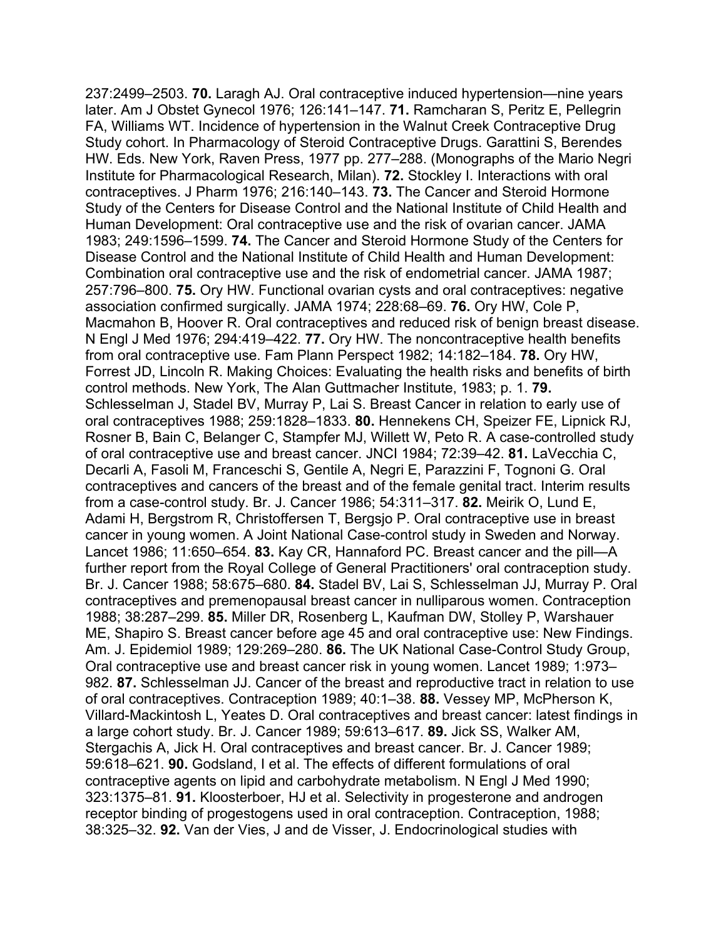237:2499–2503. **70.** Laragh AJ. Oral contraceptive induced hypertension—nine years later. Am J Obstet Gynecol 1976; 126:141–147. **71.** Ramcharan S, Peritz E, Pellegrin FA, Williams WT. Incidence of hypertension in the Walnut Creek Contraceptive Drug Study cohort. In Pharmacology of Steroid Contraceptive Drugs. Garattini S, Berendes HW. Eds. New York, Raven Press, 1977 pp. 277–288. (Monographs of the Mario Negri Institute for Pharmacological Research, Milan). **72.** Stockley I. Interactions with oral contraceptives. J Pharm 1976; 216:140–143. **73.** The Cancer and Steroid Hormone Study of the Centers for Disease Control and the National Institute of Child Health and Human Development: Oral contraceptive use and the risk of ovarian cancer. JAMA 1983; 249:1596–1599. **74.** The Cancer and Steroid Hormone Study of the Centers for Disease Control and the National Institute of Child Health and Human Development: Combination oral contraceptive use and the risk of endometrial cancer. JAMA 1987; 257:796–800. **75.** Ory HW. Functional ovarian cysts and oral contraceptives: negative association confirmed surgically. JAMA 1974; 228:68–69. **76.** Ory HW, Cole P, Macmahon B, Hoover R. Oral contraceptives and reduced risk of benign breast disease. N Engl J Med 1976; 294:419–422. **77.** Ory HW. The noncontraceptive health benefits from oral contraceptive use. Fam Plann Perspect 1982; 14:182–184. **78.** Ory HW, Forrest JD, Lincoln R. Making Choices: Evaluating the health risks and benefits of birth control methods. New York, The Alan Guttmacher Institute, 1983; p. 1. **79.**  Schlesselman J, Stadel BV, Murray P, Lai S. Breast Cancer in relation to early use of oral contraceptives 1988; 259:1828–1833. **80.** Hennekens CH, Speizer FE, Lipnick RJ, Rosner B, Bain C, Belanger C, Stampfer MJ, Willett W, Peto R. A case-controlled study of oral contraceptive use and breast cancer. JNCI 1984; 72:39–42. **81.** LaVecchia C, Decarli A, Fasoli M, Franceschi S, Gentile A, Negri E, Parazzini F, Tognoni G. Oral contraceptives and cancers of the breast and of the female genital tract. Interim results from a case-control study. Br. J. Cancer 1986; 54:311–317. **82.** Meirik O, Lund E, Adami H, Bergstrom R, Christoffersen T, Bergsjo P. Oral contraceptive use in breast cancer in young women. A Joint National Case-control study in Sweden and Norway. Lancet 1986; 11:650–654. **83.** Kay CR, Hannaford PC. Breast cancer and the pill—A further report from the Royal College of General Practitioners' oral contraception study. Br. J. Cancer 1988; 58:675–680. **84.** Stadel BV, Lai S, Schlesselman JJ, Murray P. Oral contraceptives and premenopausal breast cancer in nulliparous women. Contraception 1988; 38:287–299. **85.** Miller DR, Rosenberg L, Kaufman DW, Stolley P, Warshauer ME, Shapiro S. Breast cancer before age 45 and oral contraceptive use: New Findings. Am. J. Epidemiol 1989; 129:269–280. **86.** The UK National Case-Control Study Group, Oral contraceptive use and breast cancer risk in young women. Lancet 1989; 1:973– 982. **87.** Schlesselman JJ. Cancer of the breast and reproductive tract in relation to use of oral contraceptives. Contraception 1989; 40:1–38. **88.** Vessey MP, McPherson K, Villard-Mackintosh L, Yeates D. Oral contraceptives and breast cancer: latest findings in a large cohort study. Br. J. Cancer 1989; 59:613–617. **89.** Jick SS, Walker AM, Stergachis A, Jick H. Oral contraceptives and breast cancer. Br. J. Cancer 1989; 59:618–621. **90.** Godsland, I et al. The effects of different formulations of oral contraceptive agents on lipid and carbohydrate metabolism. N Engl J Med 1990; 323:1375–81. **91.** Kloosterboer, HJ et al. Selectivity in progesterone and androgen receptor binding of progestogens used in oral contraception. Contraception, 1988; 38:325–32. **92.** Van der Vies, J and de Visser, J. Endocrinological studies with